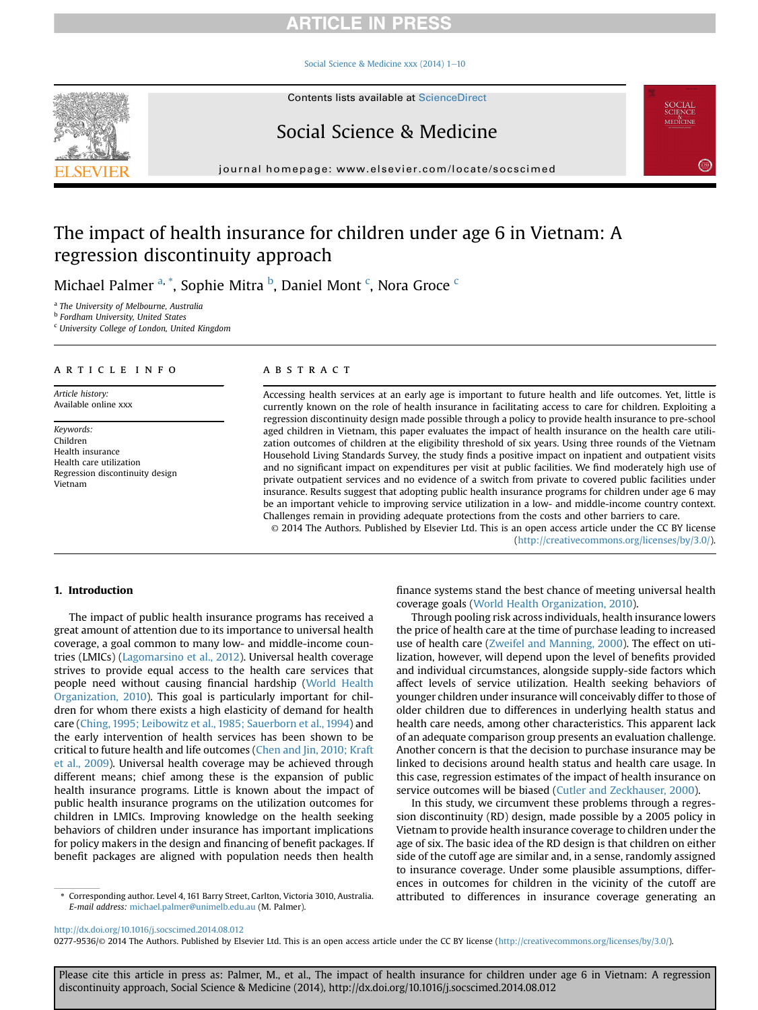# **ARTICLE IN PRESS**

Social Science & Medicine xxx (2014)  $1-10$  $1-10$ 

Contents lists available at [ScienceDirect](www.sciencedirect.com/science/journal/02779536)

# Social Science & Medicine

journal homepage: [www.elsevier.com/locate/socscimed](http://www.elsevier.com/locate/socscimed)

# The impact of health insurance for children under age 6 in Vietnam: A regression discontinuity approach

Michael Palmer <sup>a, \*</sup>, Sophie Mitra <sup>b</sup>, Daniel Mont <sup>c</sup>, Nora Groce <sup>c</sup>

<sup>a</sup> The University of Melbourne, Australia

**b** Fordham University, United States

<sup>c</sup> University College of London, United Kingdom

### article info

Article history: Available online xxx

Keywords: Children Health insurance Health care utilization Regression discontinuity design Vietnam

# **ABSTRACT**

Accessing health services at an early age is important to future health and life outcomes. Yet, little is currently known on the role of health insurance in facilitating access to care for children. Exploiting a regression discontinuity design made possible through a policy to provide health insurance to pre-school aged children in Vietnam, this paper evaluates the impact of health insurance on the health care utilization outcomes of children at the eligibility threshold of six years. Using three rounds of the Vietnam Household Living Standards Survey, the study finds a positive impact on inpatient and outpatient visits and no significant impact on expenditures per visit at public facilities. We find moderately high use of private outpatient services and no evidence of a switch from private to covered public facilities under insurance. Results suggest that adopting public health insurance programs for children under age 6 may be an important vehicle to improving service utilization in a low- and middle-income country context. Challenges remain in providing adequate protections from the costs and other barriers to care. © 2014 The Authors. Published by Elsevier Ltd. This is an open access article under the CC BY license

[\(http://creativecommons.org/licenses/by/3.0/](http://creativecommons.org/licenses/by/3.0/)).

# 1. Introduction

The impact of public health insurance programs has received a great amount of attention due to its importance to universal health coverage, a goal common to many low- and middle-income countries (LMICs) [\(Lagomarsino et al., 2012](#page-8-0)). Universal health coverage strives to provide equal access to the health care services that people need without causing financial hardship [\(World Health](#page-9-0) [Organization, 2010](#page-9-0)). This goal is particularly important for children for whom there exists a high elasticity of demand for health care [\(Ching, 1995; Leibowitz et al., 1985; Sauerborn et al., 1994\)](#page-8-0) and the early intervention of health services has been shown to be critical to future health and life outcomes [\(Chen and Jin, 2010; Kraft](#page-8-0) [et al., 2009\)](#page-8-0). Universal health coverage may be achieved through different means; chief among these is the expansion of public health insurance programs. Little is known about the impact of public health insurance programs on the utilization outcomes for children in LMICs. Improving knowledge on the health seeking behaviors of children under insurance has important implications for policy makers in the design and financing of benefit packages. If benefit packages are aligned with population needs then health

finance systems stand the best chance of meeting universal health coverage goals [\(World Health Organization, 2010](#page-9-0)).

Through pooling risk across individuals, health insurance lowers the price of health care at the time of purchase leading to increased use of health care ([Zweifel and Manning, 2000](#page-9-0)). The effect on utilization, however, will depend upon the level of benefits provided and individual circumstances, alongside supply-side factors which affect levels of service utilization. Health seeking behaviors of younger children under insurance will conceivably differ to those of older children due to differences in underlying health status and health care needs, among other characteristics. This apparent lack of an adequate comparison group presents an evaluation challenge. Another concern is that the decision to purchase insurance may be linked to decisions around health status and health care usage. In this case, regression estimates of the impact of health insurance on service outcomes will be biased ([Cutler and Zeckhauser, 2000\)](#page-8-0).

In this study, we circumvent these problems through a regression discontinuity (RD) design, made possible by a 2005 policy in Vietnam to provide health insurance coverage to children under the age of six. The basic idea of the RD design is that children on either side of the cutoff age are similar and, in a sense, randomly assigned to insurance coverage. Under some plausible assumptions, differences in outcomes for children in the vicinity of the cutoff are Corresponding author. Level 4, 161 Barry Street, Carlton, Victoria 3010, Australia. attributed to differences in insurance coverage generating an

# <http://dx.doi.org/10.1016/j.socscimed.2014.08.012>

0277-9536/© 2014 The Authors. Published by Elsevier Ltd. This is an open access article under the CC BY license ([http://creativecommons.org/licenses/by/3.0/\)](http://creativecommons.org/licenses/by/3.0/).



E-mail address: [michael.palmer@unimelb.edu.au](mailto:michael.palmer@unimelb.edu.au) (M. Palmer).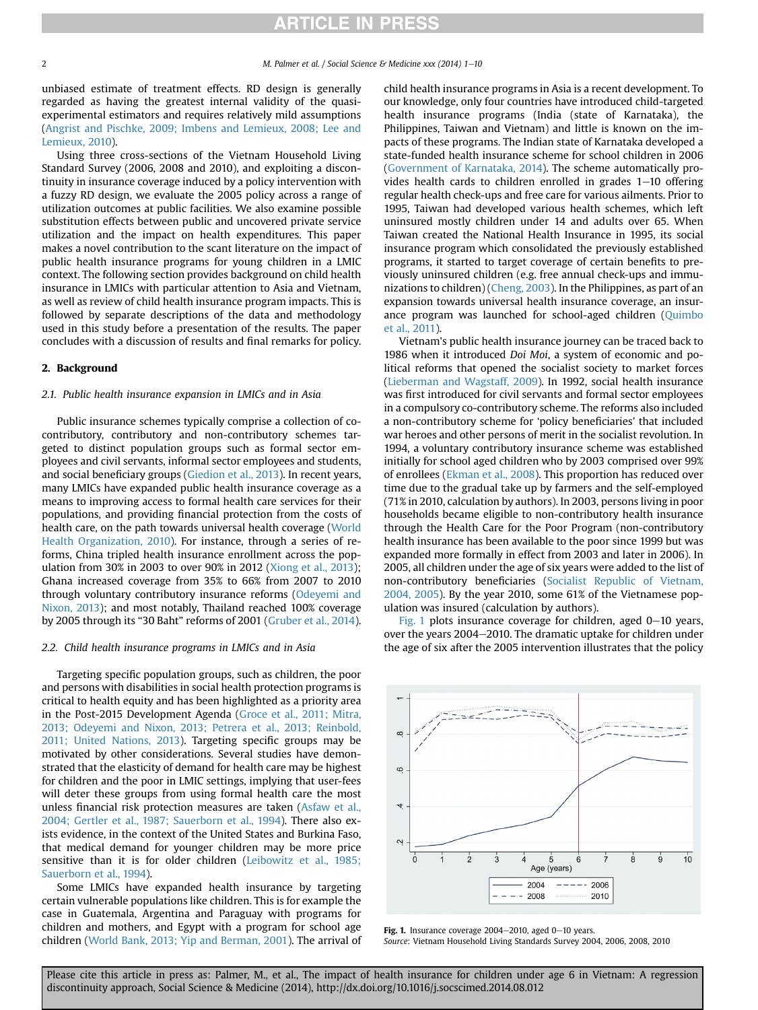<span id="page-1-0"></span>

unbiased estimate of treatment effects. RD design is generally regarded as having the greatest internal validity of the quasiexperimental estimators and requires relatively mild assumptions ([Angrist and Pischke, 2009; Imbens and Lemieux, 2008; Lee and](#page-8-0) [Lemieux, 2010\)](#page-8-0).

Using three cross-sections of the Vietnam Household Living Standard Survey (2006, 2008 and 2010), and exploiting a discontinuity in insurance coverage induced by a policy intervention with a fuzzy RD design, we evaluate the 2005 policy across a range of utilization outcomes at public facilities. We also examine possible substitution effects between public and uncovered private service utilization and the impact on health expenditures. This paper makes a novel contribution to the scant literature on the impact of public health insurance programs for young children in a LMIC context. The following section provides background on child health insurance in LMICs with particular attention to Asia and Vietnam, as well as review of child health insurance program impacts. This is followed by separate descriptions of the data and methodology used in this study before a presentation of the results. The paper concludes with a discussion of results and final remarks for policy.

### 2. Background

### 2.1. Public health insurance expansion in LMICs and in Asia

Public insurance schemes typically comprise a collection of cocontributory, contributory and non-contributory schemes targeted to distinct population groups such as formal sector employees and civil servants, informal sector employees and students, and social beneficiary groups [\(Giedion et al., 2013](#page-8-0)). In recent years, many LMICs have expanded public health insurance coverage as a means to improving access to formal health care services for their populations, and providing financial protection from the costs of health care, on the path towards universal health coverage [\(World](#page-9-0) [Health Organization, 2010\)](#page-9-0). For instance, through a series of reforms, China tripled health insurance enrollment across the population from 30% in 2003 to over 90% in 2012 [\(Xiong et al., 2013](#page-9-0)); Ghana increased coverage from 35% to 66% from 2007 to 2010 through voluntary contributory insurance reforms ([Odeyemi and](#page-9-0) [Nixon, 2013](#page-9-0)); and most notably, Thailand reached 100% coverage by 2005 through its "30 Baht" reforms of 2001 ([Gruber et al., 2014\)](#page-8-0).

#### 2.2. Child health insurance programs in LMICs and in Asia

Targeting specific population groups, such as children, the poor and persons with disabilities in social health protection programs is critical to health equity and has been highlighted as a priority area in the Post-2015 Development Agenda [\(Groce et al., 2011; Mitra,](#page-8-0) [2013; Odeyemi and Nixon, 2013; Petrera et al., 2013; Reinbold,](#page-8-0) [2011; United Nations, 2013\)](#page-8-0). Targeting specific groups may be motivated by other considerations. Several studies have demonstrated that the elasticity of demand for health care may be highest for children and the poor in LMIC settings, implying that user-fees will deter these groups from using formal health care the most unless financial risk protection measures are taken ([Asfaw et al.,](#page-8-0) [2004; Gertler et al., 1987; Sauerborn et al., 1994\)](#page-8-0). There also exists evidence, in the context of the United States and Burkina Faso, that medical demand for younger children may be more price sensitive than it is for older children ([Leibowitz et al., 1985;](#page-9-0) [Sauerborn et al., 1994\)](#page-9-0).

Some LMICs have expanded health insurance by targeting certain vulnerable populations like children. This is for example the case in Guatemala, Argentina and Paraguay with programs for children and mothers, and Egypt with a program for school age children ([World Bank, 2013; Yip and Berman, 2001](#page-9-0)). The arrival of child health insurance programs in Asia is a recent development. To our knowledge, only four countries have introduced child-targeted health insurance programs (India (state of Karnataka), the Philippines, Taiwan and Vietnam) and little is known on the impacts of these programs. The Indian state of Karnataka developed a state-funded health insurance scheme for school children in 2006 ([Government of Karnataka, 2014](#page-8-0)). The scheme automatically provides health cards to children enrolled in grades  $1-10$  offering regular health check-ups and free care for various ailments. Prior to 1995, Taiwan had developed various health schemes, which left uninsured mostly children under 14 and adults over 65. When Taiwan created the National Health Insurance in 1995, its social insurance program which consolidated the previously established programs, it started to target coverage of certain benefits to previously uninsured children (e.g. free annual check-ups and immunizations to children) [\(Cheng, 2003\)](#page-8-0). In the Philippines, as part of an expansion towards universal health insurance coverage, an insurance program was launched for school-aged children ([Quimbo](#page-9-0) [et al., 2011](#page-9-0)).

Vietnam's public health insurance journey can be traced back to 1986 when it introduced Doi Moi, a system of economic and political reforms that opened the socialist society to market forces ([Lieberman and Wagstaff, 2009\)](#page-9-0). In 1992, social health insurance was first introduced for civil servants and formal sector employees in a compulsory co-contributory scheme. The reforms also included a non-contributory scheme for 'policy beneficiaries' that included war heroes and other persons of merit in the socialist revolution. In 1994, a voluntary contributory insurance scheme was established initially for school aged children who by 2003 comprised over 99% of enrollees ([Ekman et al., 2008](#page-8-0)). This proportion has reduced over time due to the gradual take up by farmers and the self-employed (71% in 2010, calculation by authors). In 2003, persons living in poor households became eligible to non-contributory health insurance through the Health Care for the Poor Program (non-contributory health insurance has been available to the poor since 1999 but was expanded more formally in effect from 2003 and later in 2006). In 2005, all children under the age of six years were added to the list of non-contributory beneficiaries [\(Socialist Republic of Vietnam,](#page-9-0) [2004, 2005](#page-9-0)). By the year 2010, some 61% of the Vietnamese population was insured (calculation by authors).

Fig. 1 plots insurance coverage for children, aged  $0-10$  years, over the years 2004-2010. The dramatic uptake for children under the age of six after the 2005 intervention illustrates that the policy



Fig. 1. Insurance coverage  $2004-2010$ , aged  $0-10$  years. Source: Vietnam Household Living Standards Survey 2004, 2006, 2008, 2010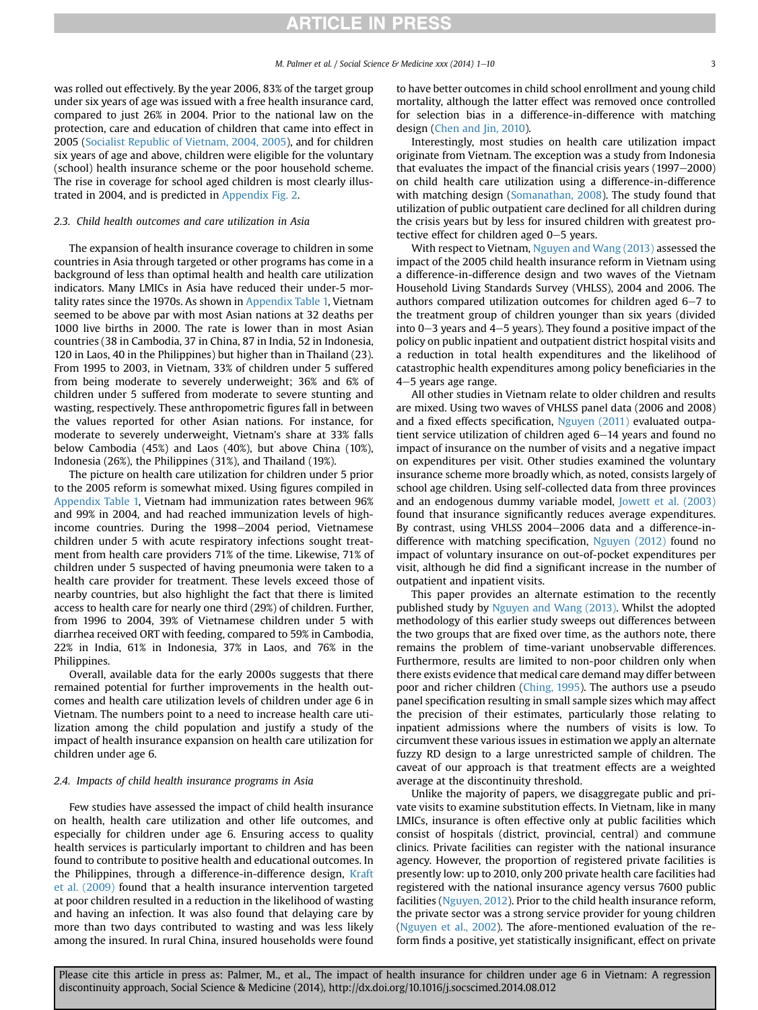was rolled out effectively. By the year 2006, 83% of the target group under six years of age was issued with a free health insurance card, compared to just 26% in 2004. Prior to the national law on the protection, care and education of children that came into effect in 2005 [\(Socialist Republic of Vietnam, 2004, 2005](#page-9-0)), and for children six years of age and above, children were eligible for the voluntary (school) health insurance scheme or the poor household scheme. The rise in coverage for school aged children is most clearly illustrated in 2004, and is predicted in Appendix Fig. 2.

### 2.3. Child health outcomes and care utilization in Asia

The expansion of health insurance coverage to children in some countries in Asia through targeted or other programs has come in a background of less than optimal health and health care utilization indicators. Many LMICs in Asia have reduced their under-5 mortality rates since the 1970s. As shown in Appendix Table 1, Vietnam seemed to be above par with most Asian nations at 32 deaths per 1000 live births in 2000. The rate is lower than in most Asian countries (38 in Cambodia, 37 in China, 87 in India, 52 in Indonesia, 120 in Laos, 40 in the Philippines) but higher than in Thailand (23). From 1995 to 2003, in Vietnam, 33% of children under 5 suffered from being moderate to severely underweight; 36% and 6% of children under 5 suffered from moderate to severe stunting and wasting, respectively. These anthropometric figures fall in between the values reported for other Asian nations. For instance, for moderate to severely underweight, Vietnam's share at 33% falls below Cambodia (45%) and Laos (40%), but above China (10%), Indonesia (26%), the Philippines (31%), and Thailand (19%).

The picture on health care utilization for children under 5 prior to the 2005 reform is somewhat mixed. Using figures compiled in Appendix Table 1, Vietnam had immunization rates between 96% and 99% in 2004, and had reached immunization levels of highincome countries. During the 1998-2004 period, Vietnamese children under 5 with acute respiratory infections sought treatment from health care providers 71% of the time. Likewise, 71% of children under 5 suspected of having pneumonia were taken to a health care provider for treatment. These levels exceed those of nearby countries, but also highlight the fact that there is limited access to health care for nearly one third (29%) of children. Further, from 1996 to 2004, 39% of Vietnamese children under 5 with diarrhea received ORT with feeding, compared to 59% in Cambodia, 22% in India, 61% in Indonesia, 37% in Laos, and 76% in the Philippines.

Overall, available data for the early 2000s suggests that there remained potential for further improvements in the health outcomes and health care utilization levels of children under age 6 in Vietnam. The numbers point to a need to increase health care utilization among the child population and justify a study of the impact of health insurance expansion on health care utilization for children under age 6.

# 2.4. Impacts of child health insurance programs in Asia

Few studies have assessed the impact of child health insurance on health, health care utilization and other life outcomes, and especially for children under age 6. Ensuring access to quality health services is particularly important to children and has been found to contribute to positive health and educational outcomes. In the Philippines, through a difference-in-difference design, [Kraft](#page-8-0) [et al. \(2009\)](#page-8-0) found that a health insurance intervention targeted at poor children resulted in a reduction in the likelihood of wasting and having an infection. It was also found that delaying care by more than two days contributed to wasting and was less likely among the insured. In rural China, insured households were found to have better outcomes in child school enrollment and young child mortality, although the latter effect was removed once controlled for selection bias in a difference-in-difference with matching design ([Chen and Jin, 2010\)](#page-8-0).

Interestingly, most studies on health care utilization impact originate from Vietnam. The exception was a study from Indonesia that evaluates the impact of the financial crisis years  $(1997-2000)$ on child health care utilization using a difference-in-difference with matching design ([Somanathan, 2008](#page-9-0)). The study found that utilization of public outpatient care declined for all children during the crisis years but by less for insured children with greatest protective effect for children aged  $0-5$  years.

With respect to Vietnam, [Nguyen and Wang \(2013\)](#page-9-0) assessed the impact of the 2005 child health insurance reform in Vietnam using a difference-in-difference design and two waves of the Vietnam Household Living Standards Survey (VHLSS), 2004 and 2006. The authors compared utilization outcomes for children aged  $6-7$  to the treatment group of children younger than six years (divided into  $0-3$  years and  $4-5$  years). They found a positive impact of the policy on public inpatient and outpatient district hospital visits and a reduction in total health expenditures and the likelihood of catastrophic health expenditures among policy beneficiaries in the  $4-5$  years age range.

All other studies in Vietnam relate to older children and results are mixed. Using two waves of VHLSS panel data (2006 and 2008) and a fixed effects specification, [Nguyen \(2011\)](#page-9-0) evaluated outpatient service utilization of children aged  $6-14$  years and found no impact of insurance on the number of visits and a negative impact on expenditures per visit. Other studies examined the voluntary insurance scheme more broadly which, as noted, consists largely of school age children. Using self-collected data from three provinces and an endogenous dummy variable model, [Jowett et al. \(2003\)](#page-8-0) found that insurance significantly reduces average expenditures. By contrast, using VHLSS 2004-2006 data and a difference-indifference with matching specification, [Nguyen \(2012\)](#page-9-0) found no impact of voluntary insurance on out-of-pocket expenditures per visit, although he did find a significant increase in the number of outpatient and inpatient visits.

This paper provides an alternate estimation to the recently published study by [Nguyen and Wang \(2013\)](#page-9-0). Whilst the adopted methodology of this earlier study sweeps out differences between the two groups that are fixed over time, as the authors note, there remains the problem of time-variant unobservable differences. Furthermore, results are limited to non-poor children only when there exists evidence that medical care demand may differ between poor and richer children [\(Ching, 1995\)](#page-8-0). The authors use a pseudo panel specification resulting in small sample sizes which may affect the precision of their estimates, particularly those relating to inpatient admissions where the numbers of visits is low. To circumvent these various issues in estimation we apply an alternate fuzzy RD design to a large unrestricted sample of children. The caveat of our approach is that treatment effects are a weighted average at the discontinuity threshold.

Unlike the majority of papers, we disaggregate public and private visits to examine substitution effects. In Vietnam, like in many LMICs, insurance is often effective only at public facilities which consist of hospitals (district, provincial, central) and commune clinics. Private facilities can register with the national insurance agency. However, the proportion of registered private facilities is presently low: up to 2010, only 200 private health care facilities had registered with the national insurance agency versus 7600 public facilities ([Nguyen, 2012](#page-9-0)). Prior to the child health insurance reform, the private sector was a strong service provider for young children ([Nguyen et al., 2002](#page-9-0)). The afore-mentioned evaluation of the reform finds a positive, yet statistically insignificant, effect on private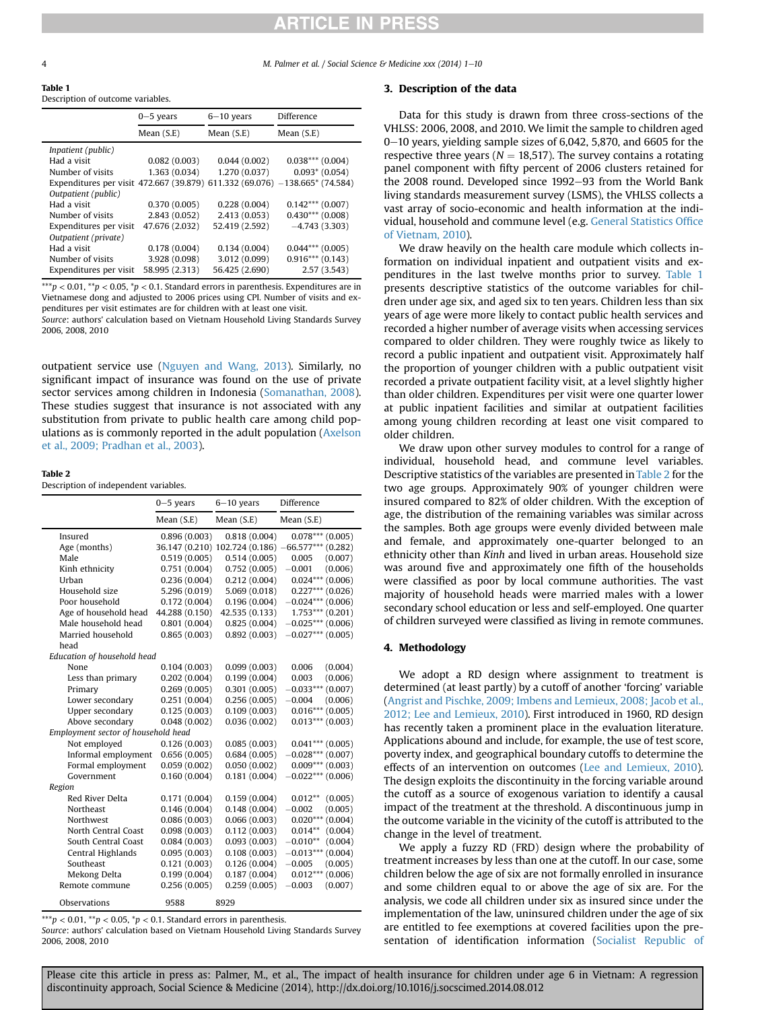# **ARTICLE IN PRESS**

 $M.$  Palmer et al. / Social Science & Medicine xxx (2014) 1-10

# <span id="page-3-0"></span>Table 1

Description of outcome variables.

|                                                          | $0 - 5$ years  | $6 - 10$ years | Difference           |
|----------------------------------------------------------|----------------|----------------|----------------------|
|                                                          | Mean $(S.E)$   | Mean $(S.E)$   | Mean $(S.E)$         |
| Inpatient (public)                                       |                |                |                      |
| Had a visit                                              | 0.082(0.003)   | 0.044(0.002)   | $0.038***$ (0.004)   |
| Number of visits                                         | 1.363 (0.034)  | 1.270 (0.037)  | $0.093*$ (0.054)     |
| Expenditures per visit 472.667 (39.879) 611.332 (69.076) |                |                | $-138.665*$ (74.584) |
| Outpatient (public)                                      |                |                |                      |
| Had a visit                                              | 0.370(0.005)   | 0.228(0.004)   | $0.142***(0.007)$    |
| Number of visits                                         | 2.843 (0.052)  | 2.413 (0.053)  | $0.430***$ (0.008)   |
| Expenditures per visit                                   | 47.676 (2.032) | 52.419 (2.592) | $-4.743(3.303)$      |
| Outpatient (private)                                     |                |                |                      |
| Had a visit                                              | 0.178(0.004)   | 0.134(0.004)   | $0.044***$ (0.005)   |
| Number of visits                                         | 3.928 (0.098)  | 3.012 (0.099)  | $0.916***$ (0.143)   |
| Expenditures per visit                                   | 58.995 (2.313) | 56.425 (2.690) | 2.57(3.543)          |

\*\*\*p < 0.01, \*\*p < 0.05, \*p < 0.1. Standard errors in parenthesis. Expenditures are in Vietnamese dong and adjusted to 2006 prices using CPI. Number of visits and expenditures per visit estimates are for children with at least one visit.

Source: authors' calculation based on Vietnam Household Living Standards Survey 2006, 2008, 2010

outpatient service use ([Nguyen and Wang, 2013\)](#page-9-0). Similarly, no significant impact of insurance was found on the use of private sector services among children in Indonesia ([Somanathan, 2008\)](#page-9-0). These studies suggest that insurance is not associated with any substitution from private to public health care among child populations as is commonly reported in the adult population [\(Axelson](#page-8-0) [et al., 2009; Pradhan et al., 2003\)](#page-8-0).

#### Table 2

Description of independent variables.

|                                     | $0 - 5$ years  | $6-10$ years                              | Difference             |
|-------------------------------------|----------------|-------------------------------------------|------------------------|
|                                     | Mean $(S.E)$   | Mean (S.E)                                | Mean $(S.E)$           |
| Insured                             | 0.896(0.003)   | 0.818(0.004)                              | $0.078***$ (0.005)     |
| Age (months)                        |                | 36.147 (0.210) 102.724 (0.186) -66.577*** | (0.282)                |
| Male                                | 0.519(0.005)   | 0.514(0.005)                              | (0.007)<br>0.005       |
| Kinh ethnicity                      | 0.751(0.004)   | 0.752(0.005)                              | (0.006)<br>$-0.001$    |
| Urban                               | 0.236(0.004)   | 0.212(0.004)                              | $0.024***$<br>(0.006)  |
| Household size                      | 5.296 (0.019)  | 5.069 (0.018)                             | $0.227***$ (0.026)     |
| Poor household                      | 0.172(0.004)   | 0.196(0.004)                              | $-0.024***$ (0.006)    |
| Age of household head               | 44.288 (0.150) | 42.535 (0.133)                            | $1.753***(0.201)$      |
| Male household head                 | 0.801(0.004)   | 0.825(0.004)                              | $-0.025***$ (0.006)    |
| Married household                   | 0.865(0.003)   | 0.892(0.003)                              | $-0.027***$ (0.005)    |
| head                                |                |                                           |                        |
| Education of household head         |                |                                           |                        |
| None                                | 0.104(0.003)   | 0.099(0.003)                              | (0.004)<br>0.006       |
| Less than primary                   | 0.202(0.004)   | 0.199(0.004)                              | (0.006)<br>0.003       |
| Primary                             | 0.269(0.005)   | 0.301(0.005)                              | (0.007)<br>$-0.033***$ |
| Lower secondary                     | 0.251(0.004)   | 0.256(0.005)                              | (0.006)<br>$-0.004$    |
| Upper secondary                     | 0.125(0.003)   | 0.109(0.003)                              | $0.016***$<br>(0.005)  |
| Above secondary                     | 0.048(0.002)   | 0.036(0.002)                              | $0.013***$ (0.003)     |
| Employment sector of household head |                |                                           |                        |
| Not employed                        | 0.126(0.003)   | 0.085(0.003)                              | $0.041***$ (0.005)     |
| Informal employment                 | 0.656(0.005)   | 0.684(0.005)                              | $-0.028***$ (0.007)    |
| Formal employment                   | 0.059(0.002)   | 0.050(0.002)                              | $0.009***$ (0.003)     |
| Government                          | 0.160(0.004)   | 0.181(0.004)                              | $-0.022***$ (0.006)    |
| Region                              |                |                                           |                        |
| Red River Delta                     | 0.171(0.004)   | 0.159(0.004)                              | (0.005)<br>$0.012**$   |
| Northeast                           | 0.146(0.004)   | 0.148(0.004)                              | $-0.002$<br>(0.005)    |
| <b>Northwest</b>                    | 0.086(0.003)   | 0.066(0.003)                              | $0.020***$<br>(0.004)  |
| North Central Coast                 | 0.098(0.003)   | 0.112(0.003)                              | $0.014**$<br>(0.004)   |
| South Central Coast                 | 0.084(0.003)   | 0.093(0.003)                              | (0.004)<br>$-0.010**$  |
| Central Highlands                   | 0.095(0.003)   | 0.108(0.003)                              | $-0.013***$<br>(0.004) |
| Southeast                           | 0.121(0.003)   | 0.126(0.004)                              | (0.005)<br>$-0.005$    |
| Mekong Delta                        | 0.199(0.004)   | 0.187(0.004)                              | $0.012***$<br>(0.006)  |
| Remote commune                      | 0.256(0.005)   | 0.259(0.005)                              | (0.007)<br>$-0.003$    |
| Observations                        | 9588           | 8929                                      |                        |

\*\*\*p < 0.01, \*\*p < 0.05,  $p$  < 0.1. Standard errors in parenthesis.

Source: authors' calculation based on Vietnam Household Living Standards Survey 2006, 2008, 2010

#### 3. Description of the data

Data for this study is drawn from three cross-sections of the VHLSS: 2006, 2008, and 2010. We limit the sample to children aged  $0-10$  years, yielding sample sizes of 6,042, 5,870, and 6605 for the respective three years ( $N = 18,517$ ). The survey contains a rotating panel component with fifty percent of 2006 clusters retained for the 2008 round. Developed since 1992-93 from the World Bank living standards measurement survey (LSMS), the VHLSS collects a vast array of socio-economic and health information at the individual, household and commune level (e.g. [General Statistics Of](#page-8-0)fice [of Vietnam, 2010](#page-8-0)).

We draw heavily on the health care module which collects information on individual inpatient and outpatient visits and expenditures in the last twelve months prior to survey. Table 1 presents descriptive statistics of the outcome variables for children under age six, and aged six to ten years. Children less than six years of age were more likely to contact public health services and recorded a higher number of average visits when accessing services compared to older children. They were roughly twice as likely to record a public inpatient and outpatient visit. Approximately half the proportion of younger children with a public outpatient visit recorded a private outpatient facility visit, at a level slightly higher than older children. Expenditures per visit were one quarter lower at public inpatient facilities and similar at outpatient facilities among young children recording at least one visit compared to older children.

We draw upon other survey modules to control for a range of individual, household head, and commune level variables. Descriptive statistics of the variables are presented in Table 2 for the two age groups. Approximately 90% of younger children were insured compared to 82% of older children. With the exception of age, the distribution of the remaining variables was similar across the samples. Both age groups were evenly divided between male and female, and approximately one-quarter belonged to an ethnicity other than Kinh and lived in urban areas. Household size was around five and approximately one fifth of the households were classified as poor by local commune authorities. The vast majority of household heads were married males with a lower secondary school education or less and self-employed. One quarter of children surveyed were classified as living in remote communes.

#### 4. Methodology

We adopt a RD design where assignment to treatment is determined (at least partly) by a cutoff of another 'forcing' variable ([Angrist and Pischke, 2009; Imbens and Lemieux, 2008; Jacob et al.,](#page-8-0) [2012; Lee and Lemieux, 2010\)](#page-8-0). First introduced in 1960, RD design has recently taken a prominent place in the evaluation literature. Applications abound and include, for example, the use of test score, poverty index, and geographical boundary cutoffs to determine the effects of an intervention on outcomes ([Lee and Lemieux, 2010\)](#page-8-0). The design exploits the discontinuity in the forcing variable around the cutoff as a source of exogenous variation to identify a causal impact of the treatment at the threshold. A discontinuous jump in the outcome variable in the vicinity of the cutoff is attributed to the change in the level of treatment.

We apply a fuzzy RD (FRD) design where the probability of treatment increases by less than one at the cutoff. In our case, some children below the age of six are not formally enrolled in insurance and some children equal to or above the age of six are. For the analysis, we code all children under six as insured since under the implementation of the law, uninsured children under the age of six are entitled to fee exemptions at covered facilities upon the presentation of identification information ([Socialist Republic of](#page-9-0)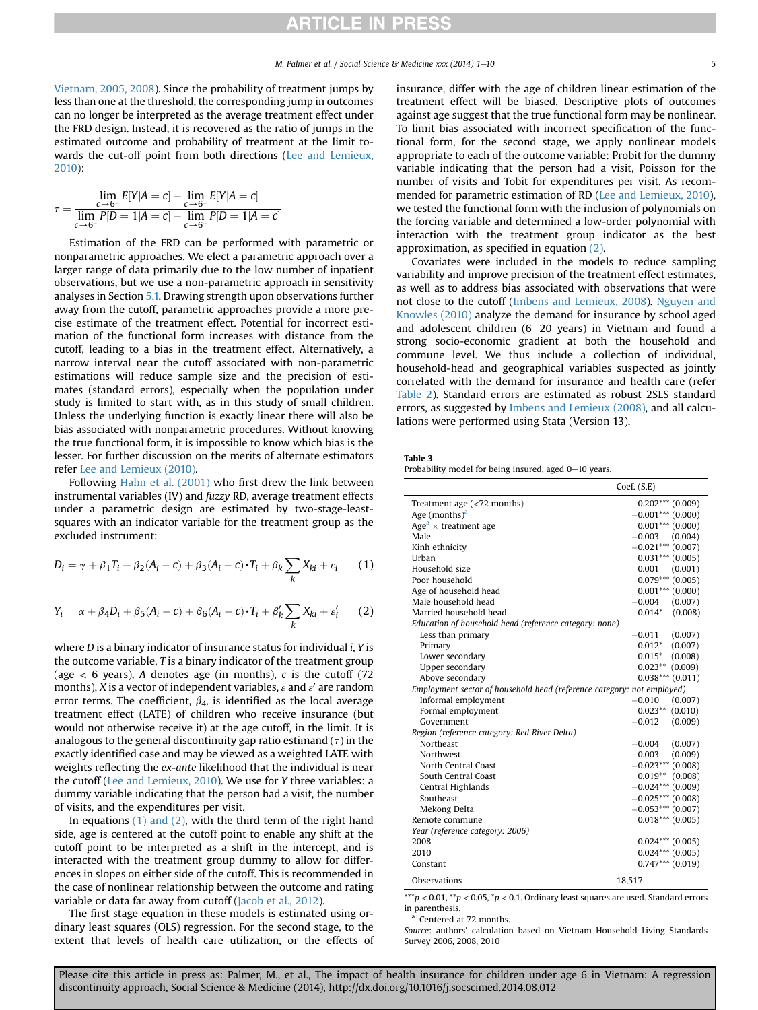<span id="page-4-0"></span>[Vietnam, 2005, 2008](#page-9-0)). Since the probability of treatment jumps by less than one at the threshold, the corresponding jump in outcomes can no longer be interpreted as the average treatment effect under the FRD design. Instead, it is recovered as the ratio of jumps in the estimated outcome and probability of treatment at the limit towards the cut-off point from both directions [\(Lee and Lemieux,](#page-8-0) [2010\)](#page-8-0):

$$
\tau = \frac{\lim_{c \to 6^{-}} E[Y|A = c] - \lim_{c \to 6^{+}} E[Y|A = c]}{\lim_{c \to 6^{-}} P[D = 1|A = c] - \lim_{c \to 6^{+}} P[D = 1|A = c]}
$$

Estimation of the FRD can be performed with parametric or nonparametric approaches. We elect a parametric approach over a larger range of data primarily due to the low number of inpatient observations, but we use a non-parametric approach in sensitivity analyses in Section [5.1.](#page-5-0) Drawing strength upon observations further away from the cutoff, parametric approaches provide a more precise estimate of the treatment effect. Potential for incorrect estimation of the functional form increases with distance from the cutoff, leading to a bias in the treatment effect. Alternatively, a narrow interval near the cutoff associated with non-parametric estimations will reduce sample size and the precision of estimates (standard errors), especially when the population under study is limited to start with, as in this study of small children. Unless the underlying function is exactly linear there will also be bias associated with nonparametric procedures. Without knowing the true functional form, it is impossible to know which bias is the lesser. For further discussion on the merits of alternate estimators refer [Lee and Lemieux \(2010\).](#page-8-0)

Following [Hahn et al. \(2001\)](#page-8-0) who first drew the link between instrumental variables (IV) and fuzzy RD, average treatment effects under a parametric design are estimated by two-stage-leastsquares with an indicator variable for the treatment group as the excluded instrument:

$$
D_i = \gamma + \beta_1 T_i + \beta_2 (A_i - c) + \beta_3 (A_i - c) \cdot T_i + \beta_k \sum_k X_{ki} + \varepsilon_i \qquad (1)
$$

$$
Y_i = \alpha + \beta_4 D_i + \beta_5 (A_i - c) + \beta_6 (A_i - c) \cdot T_i + \beta'_k \sum_k X_{ki} + \varepsilon'_i \tag{2}
$$

where D is a binary indicator of insurance status for individual i, Y is the outcome variable, T is a binary indicator of the treatment group (age  $<$  6 years), A denotes age (in months), c is the cutoff (72 months), X is a vector of independent variables,  $\varepsilon$  and  $\varepsilon'$  are random error terms. The coefficient,  $\beta_4$ , is identified as the local average treatment effect (LATE) of children who receive insurance (but would not otherwise receive it) at the age cutoff, in the limit. It is analogous to the general discontinuity gap ratio estimand  $(\tau)$  in the exactly identified case and may be viewed as a weighted LATE with weights reflecting the ex-ante likelihood that the individual is near the cutoff [\(Lee and Lemieux, 2010\)](#page-8-0). We use for Y three variables: a dummy variable indicating that the person had a visit, the number of visits, and the expenditures per visit.

In equations  $(1)$  and  $(2)$ , with the third term of the right hand side, age is centered at the cutoff point to enable any shift at the cutoff point to be interpreted as a shift in the intercept, and is interacted with the treatment group dummy to allow for differences in slopes on either side of the cutoff. This is recommended in the case of nonlinear relationship between the outcome and rating variable or data far away from cutoff ([Jacob et al., 2012\)](#page-8-0).

The first stage equation in these models is estimated using ordinary least squares (OLS) regression. For the second stage, to the extent that levels of health care utilization, or the effects of insurance, differ with the age of children linear estimation of the treatment effect will be biased. Descriptive plots of outcomes against age suggest that the true functional form may be nonlinear. To limit bias associated with incorrect specification of the functional form, for the second stage, we apply nonlinear models appropriate to each of the outcome variable: Probit for the dummy variable indicating that the person had a visit, Poisson for the number of visits and Tobit for expenditures per visit. As recommended for parametric estimation of RD [\(Lee and Lemieux, 2010\)](#page-8-0), we tested the functional form with the inclusion of polynomials on the forcing variable and determined a low-order polynomial with interaction with the treatment group indicator as the best approximation, as specified in equation (2).

Covariates were included in the models to reduce sampling variability and improve precision of the treatment effect estimates, as well as to address bias associated with observations that were not close to the cutoff [\(Imbens and Lemieux, 2008](#page-8-0)). [Nguyen and](#page-9-0) [Knowles \(2010\)](#page-9-0) analyze the demand for insurance by school aged and adolescent children  $(6-20$  years) in Vietnam and found a strong socio-economic gradient at both the household and commune level. We thus include a collection of individual, household-head and geographical variables suspected as jointly correlated with the demand for insurance and health care (refer [Table 2\)](#page-3-0). Standard errors are estimated as robust 2SLS standard errors, as suggested by [Imbens and Lemieux \(2008\)](#page-8-0), and all calculations were performed using Stata (Version 13).

| ble 3 |  |  |  |  |  |  |
|-------|--|--|--|--|--|--|
|-------|--|--|--|--|--|--|

Table 3

Probability model for being insured, aged  $0-10$  years.

|                                                                        | Coef. $(S.E)$         |
|------------------------------------------------------------------------|-----------------------|
| Treatment age (<72 months)                                             | $0.202***(0.009)$     |
| Age (months) $a$                                                       | $-0.001***$ (0.000)   |
| Age <sup>a</sup> $\times$ treatment age                                | $0.001***$ (0.000)    |
| Male                                                                   | (0.004)<br>$-0.003$   |
| Kinh ethnicity                                                         | $-0.021***$ (0.007)   |
| Urban                                                                  | $0.031***$ (0.005)    |
| Household size                                                         | (0.001)<br>0.001      |
| Poor household                                                         | $0.079***$ (0.005)    |
| Age of household head                                                  | $0.001***(0.000)$     |
| Male household head                                                    | (0.007)<br>$-0.004$   |
| Married household head                                                 | $0.014*$<br>(0.008)   |
| Education of household head (reference category: none)                 |                       |
| Less than primary                                                      | $-0.011$<br>(0.007)   |
| Primary                                                                | (0.007)<br>$0.012*$   |
| Lower secondary                                                        | (0.008)<br>$0.015*$   |
| Upper secondary                                                        | $0.023**$<br>(0.009)  |
| Above secondary                                                        | (0.011)<br>$0.038***$ |
| Employment sector of household head (reference category: not employed) |                       |
| Informal employment                                                    | $-0.010$<br>(0.007)   |
| Formal employment                                                      | $0.023**$<br>(0.010)  |
| Government                                                             | $-0.012$<br>(0.009)   |
| Region (reference category: Red River Delta)                           |                       |
| Northeast                                                              | $-0.004$<br>(0.007)   |
| Northwest                                                              | 0.003<br>(0.009)      |
| North Central Coast                                                    | $-0.023***$ (0.008)   |
| South Central Coast                                                    | $0.019**$<br>(0.008)  |
| Central Highlands                                                      | $-0.024***$ (0.009)   |
| Southeast                                                              | $-0.025***$ (0.008)   |
| Mekong Delta                                                           | $-0.053***$ (0.007)   |
| Remote commune                                                         | $0.018***$ (0.005)    |
| Year (reference category: 2006)                                        |                       |
| 2008                                                                   | $0.024***(0.005)$     |
| 2010                                                                   | $0.024***$ (0.005)    |
| Constant                                                               | $0.747***$ (0.019)    |
| Observations                                                           | 18.517                |

 $^{***}p < 0.01,~^{**}p < 0.05,~^{*}p < 0.1.$  Ordinary least squares are used. Standard errors in parenthesis.

Centered at 72 months.

Source: authors' calculation based on Vietnam Household Living Standards Survey 2006, 2008, 2010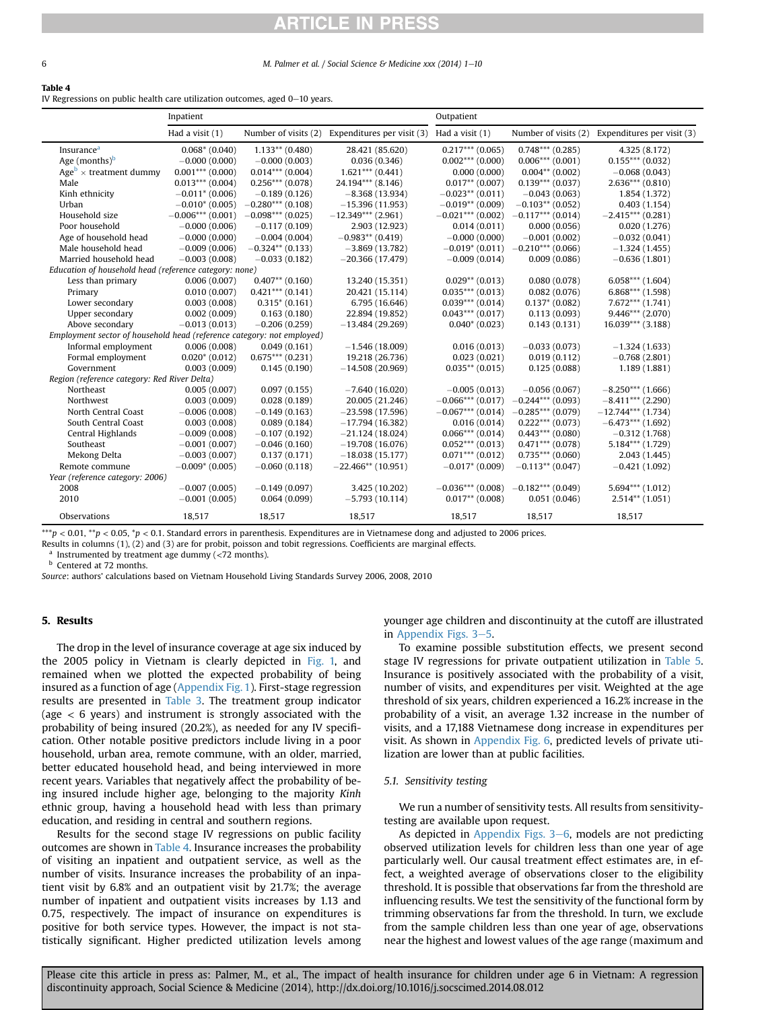<span id="page-5-0"></span>

# **RTICLE IN PRESS**

6 M. Palmer et al. / Social Science & Medicine xxx (2014) 1-10

#### Table 4

IV Regressions on public health care utilization outcomes, aged  $0-10$  years.

| Number of visits (2) Expenditures per visit (3) Had a visit (1)<br>Number of visits (2)<br>Had a visit $(1)$<br>Expenditures per visit (3)<br>$1.133**$ (0.480)<br>$0.217***$ (0.065)<br>$0.748***$ (0.285)<br><b>Insurance</b> <sup>a</sup><br>$0.068*(0.040)$<br>28.421 (85.620)<br>4.325 (8.172)<br>$0.006***$ (0.001)<br>Age (months) $b$<br>$-0.000(0.000)$<br>$0.002***$ (0.000)<br>$0.155***(0.032)$<br>$-0.000(0.003)$<br>0.036(0.346)<br>Age <sup>b</sup> $\times$ treatment dummy<br>$0.001***$ (0.000)<br>$0.014***$ (0.004)<br>$1.621***$ (0.441)<br>0.000(0.000)<br>$0.004**$ (0.002)<br>$-0.068(0.043)$<br>$0.139***$ (0.037)<br>$0.013***(0.004)$<br>$0.256***(0.078)$<br>24.194*** (8.146)<br>$0.017**$ (0.007)<br>$2.636***$ (0.810)<br>Male<br>Kinh ethnicity<br>$-0.011$ <sup>*</sup> (0.006)<br>$-0.189(0.126)$<br>$-0.023**$ (0.011)<br>$-0.043(0.063)$<br>$-8.368(13.934)$<br>1.854 (1.372)<br>$-0.010*(0.005)$ $-0.280***$ (0.108)<br>$-0.019**$ (0.009)<br>$-0.103**$ (0.052)<br>Urban<br>$-15.396(11.953)$<br>0.403(1.154)<br>$-0.006***$ (0.001)<br>$-0.117***$ (0.014)<br>Household size<br>$-0.098***$ (0.025)<br>$-12.349***$ (2.961)<br>$-0.021***$ (0.002)<br>$-2.415***$ (0.281)<br>Poor household<br>$-0.000(0.006)$<br>$-0.117(0.109)$<br>2.903 (12.923)<br>0.014(0.011)<br>0.000(0.056)<br>0.020(1.276)<br>Age of household head<br>$-0.000(0.000)$<br>$-0.983**$ (0.419)<br>$-0.000(0.000)$<br>$-0.004(0.004)$<br>$-0.001(0.002)$<br>$-0.032(0.041)$<br>Male household head<br>$-0.324**$ (0.133)<br>$-0.019*(0.011)$<br>$-0.210***$ (0.066)<br>$-0.009(0.006)$<br>$-3.869(13.782)$<br>$-1.324(1.455)$<br>Married household head<br>$-0.003(0.008)$<br>$-0.009(0.014)$<br>$-0.033(0.182)$<br>$-20.366(17.479)$<br>0.009(0.086)<br>$-0.636(1.801)$<br>Education of household head (reference category: none)<br>$0.407**$ (0.160)<br>$0.029**$ (0.013)<br>Less than primary<br>0.080(0.078)<br>$6.058***$ (1.604)<br>0.006(0.007)<br>13.240 (15.351)<br>$0.421***(0.141)$<br>20.421 (15.114)<br>$0.035***(0.013)$<br>0.082(0.076)<br>$6.868***$ (1.598)<br>Primary<br>0.010(0.007)<br>Lower secondary<br>$0.039***$ (0.014)<br>$7.672***$ (1.741)<br>0.003(0.008)<br>$0.315*(0.161)$<br>6.795 (16.646)<br>$0.137*(0.082)$<br>Upper secondary<br>0.002(0.009)<br>$0.043***(0.017)$<br>$9.446***$ (2.070)<br>0.163(0.180)<br>22.894 (19.852)<br>0.113(0.093)<br>Above secondary<br>$-0.013(0.013)$<br>$16.039***$ (3.188)<br>$-0.206(0.259)$<br>$-13.484(29.269)$<br>$0.040*(0.023)$<br>0.143(0.131)<br>Employment sector of household head (reference category: not employed)<br>Informal employment<br>0.016(0.013)<br>0.006(0.008)<br>0.049(0.161)<br>$-1.546(18.009)$<br>$-0.033(0.073)$<br>$-1.324(1.633)$<br>Formal employment<br>$0.020*(0.012)$<br>$0.675***(0.231)$<br>19.218 (26.736)<br>0.023(0.021)<br>0.019(0.112)<br>$-0.768(2.801)$<br>Government<br>0.003(0.009)<br>$-14,508(20.969)$<br>$0.035**$ (0.015)<br>0.125(0.088)<br>0.145(0.190)<br>1.189 (1.881) |  |
|--------------------------------------------------------------------------------------------------------------------------------------------------------------------------------------------------------------------------------------------------------------------------------------------------------------------------------------------------------------------------------------------------------------------------------------------------------------------------------------------------------------------------------------------------------------------------------------------------------------------------------------------------------------------------------------------------------------------------------------------------------------------------------------------------------------------------------------------------------------------------------------------------------------------------------------------------------------------------------------------------------------------------------------------------------------------------------------------------------------------------------------------------------------------------------------------------------------------------------------------------------------------------------------------------------------------------------------------------------------------------------------------------------------------------------------------------------------------------------------------------------------------------------------------------------------------------------------------------------------------------------------------------------------------------------------------------------------------------------------------------------------------------------------------------------------------------------------------------------------------------------------------------------------------------------------------------------------------------------------------------------------------------------------------------------------------------------------------------------------------------------------------------------------------------------------------------------------------------------------------------------------------------------------------------------------------------------------------------------------------------------------------------------------------------------------------------------------------------------------------------------------------------------------------------------------------------------------------------------------------------------------------------------------------------------------------------------------------------------------------------------------------------------------------------------------------------------------------------------------------------------------------------------------------------------------------------------------------------------------------------------------|--|
|                                                                                                                                                                                                                                                                                                                                                                                                                                                                                                                                                                                                                                                                                                                                                                                                                                                                                                                                                                                                                                                                                                                                                                                                                                                                                                                                                                                                                                                                                                                                                                                                                                                                                                                                                                                                                                                                                                                                                                                                                                                                                                                                                                                                                                                                                                                                                                                                                                                                                                                                                                                                                                                                                                                                                                                                                                                                                                                                                                                                              |  |
|                                                                                                                                                                                                                                                                                                                                                                                                                                                                                                                                                                                                                                                                                                                                                                                                                                                                                                                                                                                                                                                                                                                                                                                                                                                                                                                                                                                                                                                                                                                                                                                                                                                                                                                                                                                                                                                                                                                                                                                                                                                                                                                                                                                                                                                                                                                                                                                                                                                                                                                                                                                                                                                                                                                                                                                                                                                                                                                                                                                                              |  |
|                                                                                                                                                                                                                                                                                                                                                                                                                                                                                                                                                                                                                                                                                                                                                                                                                                                                                                                                                                                                                                                                                                                                                                                                                                                                                                                                                                                                                                                                                                                                                                                                                                                                                                                                                                                                                                                                                                                                                                                                                                                                                                                                                                                                                                                                                                                                                                                                                                                                                                                                                                                                                                                                                                                                                                                                                                                                                                                                                                                                              |  |
|                                                                                                                                                                                                                                                                                                                                                                                                                                                                                                                                                                                                                                                                                                                                                                                                                                                                                                                                                                                                                                                                                                                                                                                                                                                                                                                                                                                                                                                                                                                                                                                                                                                                                                                                                                                                                                                                                                                                                                                                                                                                                                                                                                                                                                                                                                                                                                                                                                                                                                                                                                                                                                                                                                                                                                                                                                                                                                                                                                                                              |  |
|                                                                                                                                                                                                                                                                                                                                                                                                                                                                                                                                                                                                                                                                                                                                                                                                                                                                                                                                                                                                                                                                                                                                                                                                                                                                                                                                                                                                                                                                                                                                                                                                                                                                                                                                                                                                                                                                                                                                                                                                                                                                                                                                                                                                                                                                                                                                                                                                                                                                                                                                                                                                                                                                                                                                                                                                                                                                                                                                                                                                              |  |
|                                                                                                                                                                                                                                                                                                                                                                                                                                                                                                                                                                                                                                                                                                                                                                                                                                                                                                                                                                                                                                                                                                                                                                                                                                                                                                                                                                                                                                                                                                                                                                                                                                                                                                                                                                                                                                                                                                                                                                                                                                                                                                                                                                                                                                                                                                                                                                                                                                                                                                                                                                                                                                                                                                                                                                                                                                                                                                                                                                                                              |  |
|                                                                                                                                                                                                                                                                                                                                                                                                                                                                                                                                                                                                                                                                                                                                                                                                                                                                                                                                                                                                                                                                                                                                                                                                                                                                                                                                                                                                                                                                                                                                                                                                                                                                                                                                                                                                                                                                                                                                                                                                                                                                                                                                                                                                                                                                                                                                                                                                                                                                                                                                                                                                                                                                                                                                                                                                                                                                                                                                                                                                              |  |
|                                                                                                                                                                                                                                                                                                                                                                                                                                                                                                                                                                                                                                                                                                                                                                                                                                                                                                                                                                                                                                                                                                                                                                                                                                                                                                                                                                                                                                                                                                                                                                                                                                                                                                                                                                                                                                                                                                                                                                                                                                                                                                                                                                                                                                                                                                                                                                                                                                                                                                                                                                                                                                                                                                                                                                                                                                                                                                                                                                                                              |  |
|                                                                                                                                                                                                                                                                                                                                                                                                                                                                                                                                                                                                                                                                                                                                                                                                                                                                                                                                                                                                                                                                                                                                                                                                                                                                                                                                                                                                                                                                                                                                                                                                                                                                                                                                                                                                                                                                                                                                                                                                                                                                                                                                                                                                                                                                                                                                                                                                                                                                                                                                                                                                                                                                                                                                                                                                                                                                                                                                                                                                              |  |
|                                                                                                                                                                                                                                                                                                                                                                                                                                                                                                                                                                                                                                                                                                                                                                                                                                                                                                                                                                                                                                                                                                                                                                                                                                                                                                                                                                                                                                                                                                                                                                                                                                                                                                                                                                                                                                                                                                                                                                                                                                                                                                                                                                                                                                                                                                                                                                                                                                                                                                                                                                                                                                                                                                                                                                                                                                                                                                                                                                                                              |  |
|                                                                                                                                                                                                                                                                                                                                                                                                                                                                                                                                                                                                                                                                                                                                                                                                                                                                                                                                                                                                                                                                                                                                                                                                                                                                                                                                                                                                                                                                                                                                                                                                                                                                                                                                                                                                                                                                                                                                                                                                                                                                                                                                                                                                                                                                                                                                                                                                                                                                                                                                                                                                                                                                                                                                                                                                                                                                                                                                                                                                              |  |
|                                                                                                                                                                                                                                                                                                                                                                                                                                                                                                                                                                                                                                                                                                                                                                                                                                                                                                                                                                                                                                                                                                                                                                                                                                                                                                                                                                                                                                                                                                                                                                                                                                                                                                                                                                                                                                                                                                                                                                                                                                                                                                                                                                                                                                                                                                                                                                                                                                                                                                                                                                                                                                                                                                                                                                                                                                                                                                                                                                                                              |  |
|                                                                                                                                                                                                                                                                                                                                                                                                                                                                                                                                                                                                                                                                                                                                                                                                                                                                                                                                                                                                                                                                                                                                                                                                                                                                                                                                                                                                                                                                                                                                                                                                                                                                                                                                                                                                                                                                                                                                                                                                                                                                                                                                                                                                                                                                                                                                                                                                                                                                                                                                                                                                                                                                                                                                                                                                                                                                                                                                                                                                              |  |
|                                                                                                                                                                                                                                                                                                                                                                                                                                                                                                                                                                                                                                                                                                                                                                                                                                                                                                                                                                                                                                                                                                                                                                                                                                                                                                                                                                                                                                                                                                                                                                                                                                                                                                                                                                                                                                                                                                                                                                                                                                                                                                                                                                                                                                                                                                                                                                                                                                                                                                                                                                                                                                                                                                                                                                                                                                                                                                                                                                                                              |  |
|                                                                                                                                                                                                                                                                                                                                                                                                                                                                                                                                                                                                                                                                                                                                                                                                                                                                                                                                                                                                                                                                                                                                                                                                                                                                                                                                                                                                                                                                                                                                                                                                                                                                                                                                                                                                                                                                                                                                                                                                                                                                                                                                                                                                                                                                                                                                                                                                                                                                                                                                                                                                                                                                                                                                                                                                                                                                                                                                                                                                              |  |
|                                                                                                                                                                                                                                                                                                                                                                                                                                                                                                                                                                                                                                                                                                                                                                                                                                                                                                                                                                                                                                                                                                                                                                                                                                                                                                                                                                                                                                                                                                                                                                                                                                                                                                                                                                                                                                                                                                                                                                                                                                                                                                                                                                                                                                                                                                                                                                                                                                                                                                                                                                                                                                                                                                                                                                                                                                                                                                                                                                                                              |  |
|                                                                                                                                                                                                                                                                                                                                                                                                                                                                                                                                                                                                                                                                                                                                                                                                                                                                                                                                                                                                                                                                                                                                                                                                                                                                                                                                                                                                                                                                                                                                                                                                                                                                                                                                                                                                                                                                                                                                                                                                                                                                                                                                                                                                                                                                                                                                                                                                                                                                                                                                                                                                                                                                                                                                                                                                                                                                                                                                                                                                              |  |
|                                                                                                                                                                                                                                                                                                                                                                                                                                                                                                                                                                                                                                                                                                                                                                                                                                                                                                                                                                                                                                                                                                                                                                                                                                                                                                                                                                                                                                                                                                                                                                                                                                                                                                                                                                                                                                                                                                                                                                                                                                                                                                                                                                                                                                                                                                                                                                                                                                                                                                                                                                                                                                                                                                                                                                                                                                                                                                                                                                                                              |  |
|                                                                                                                                                                                                                                                                                                                                                                                                                                                                                                                                                                                                                                                                                                                                                                                                                                                                                                                                                                                                                                                                                                                                                                                                                                                                                                                                                                                                                                                                                                                                                                                                                                                                                                                                                                                                                                                                                                                                                                                                                                                                                                                                                                                                                                                                                                                                                                                                                                                                                                                                                                                                                                                                                                                                                                                                                                                                                                                                                                                                              |  |
|                                                                                                                                                                                                                                                                                                                                                                                                                                                                                                                                                                                                                                                                                                                                                                                                                                                                                                                                                                                                                                                                                                                                                                                                                                                                                                                                                                                                                                                                                                                                                                                                                                                                                                                                                                                                                                                                                                                                                                                                                                                                                                                                                                                                                                                                                                                                                                                                                                                                                                                                                                                                                                                                                                                                                                                                                                                                                                                                                                                                              |  |
|                                                                                                                                                                                                                                                                                                                                                                                                                                                                                                                                                                                                                                                                                                                                                                                                                                                                                                                                                                                                                                                                                                                                                                                                                                                                                                                                                                                                                                                                                                                                                                                                                                                                                                                                                                                                                                                                                                                                                                                                                                                                                                                                                                                                                                                                                                                                                                                                                                                                                                                                                                                                                                                                                                                                                                                                                                                                                                                                                                                                              |  |
|                                                                                                                                                                                                                                                                                                                                                                                                                                                                                                                                                                                                                                                                                                                                                                                                                                                                                                                                                                                                                                                                                                                                                                                                                                                                                                                                                                                                                                                                                                                                                                                                                                                                                                                                                                                                                                                                                                                                                                                                                                                                                                                                                                                                                                                                                                                                                                                                                                                                                                                                                                                                                                                                                                                                                                                                                                                                                                                                                                                                              |  |
| Region (reference category: Red River Delta)                                                                                                                                                                                                                                                                                                                                                                                                                                                                                                                                                                                                                                                                                                                                                                                                                                                                                                                                                                                                                                                                                                                                                                                                                                                                                                                                                                                                                                                                                                                                                                                                                                                                                                                                                                                                                                                                                                                                                                                                                                                                                                                                                                                                                                                                                                                                                                                                                                                                                                                                                                                                                                                                                                                                                                                                                                                                                                                                                                 |  |
| 0.005(0.007)<br>0.097(0.155)<br>Northeast<br>$-7.640(16.020)$<br>$-0.005(0.013)$<br>$-0.056(0.067)$<br>$-8.250***$ (1.666)                                                                                                                                                                                                                                                                                                                                                                                                                                                                                                                                                                                                                                                                                                                                                                                                                                                                                                                                                                                                                                                                                                                                                                                                                                                                                                                                                                                                                                                                                                                                                                                                                                                                                                                                                                                                                                                                                                                                                                                                                                                                                                                                                                                                                                                                                                                                                                                                                                                                                                                                                                                                                                                                                                                                                                                                                                                                                   |  |
| 0.003(0.009)<br>20.005 (21.246)<br>$-0.066***(0.017)$<br>$-0.244***$ (0.093)<br>$-8.411***$ (2.290)<br>Northwest<br>0.028(0.189)                                                                                                                                                                                                                                                                                                                                                                                                                                                                                                                                                                                                                                                                                                                                                                                                                                                                                                                                                                                                                                                                                                                                                                                                                                                                                                                                                                                                                                                                                                                                                                                                                                                                                                                                                                                                                                                                                                                                                                                                                                                                                                                                                                                                                                                                                                                                                                                                                                                                                                                                                                                                                                                                                                                                                                                                                                                                             |  |
| $-0.067***$ (0.014)<br>$-23.598(17.596)$<br>$-0.285***(0.079)$<br>$-12.744***$ (1.734)<br>North Central Coast<br>$-0.006(0.008)$<br>$-0.149(0.163)$                                                                                                                                                                                                                                                                                                                                                                                                                                                                                                                                                                                                                                                                                                                                                                                                                                                                                                                                                                                                                                                                                                                                                                                                                                                                                                                                                                                                                                                                                                                                                                                                                                                                                                                                                                                                                                                                                                                                                                                                                                                                                                                                                                                                                                                                                                                                                                                                                                                                                                                                                                                                                                                                                                                                                                                                                                                          |  |
| $0.222***(0.073)$<br>$-6.473***$ (1.692)<br>South Central Coast<br>0.003(0.008)<br>0.089(0.184)<br>$-17,794(16,382)$<br>0.016(0.014)                                                                                                                                                                                                                                                                                                                                                                                                                                                                                                                                                                                                                                                                                                                                                                                                                                                                                                                                                                                                                                                                                                                                                                                                                                                                                                                                                                                                                                                                                                                                                                                                                                                                                                                                                                                                                                                                                                                                                                                                                                                                                                                                                                                                                                                                                                                                                                                                                                                                                                                                                                                                                                                                                                                                                                                                                                                                         |  |
| $0.443***$ (0.080)<br>$-0.009(0.008)$<br>$-0.107(0.192)$<br>$0.066***(0.014)$<br>Central Highlands<br>$-21,124(18,024)$<br>$-0.312(1.768)$                                                                                                                                                                                                                                                                                                                                                                                                                                                                                                                                                                                                                                                                                                                                                                                                                                                                                                                                                                                                                                                                                                                                                                                                                                                                                                                                                                                                                                                                                                                                                                                                                                                                                                                                                                                                                                                                                                                                                                                                                                                                                                                                                                                                                                                                                                                                                                                                                                                                                                                                                                                                                                                                                                                                                                                                                                                                   |  |
| $0.052***(0.013)$<br>$0.471***$ (0.078)<br>Southeast<br>$-0.001(0.007)$<br>$-0.046(0.160)$<br>$5.184***$ (1.729)<br>$-19,708(16,076)$                                                                                                                                                                                                                                                                                                                                                                                                                                                                                                                                                                                                                                                                                                                                                                                                                                                                                                                                                                                                                                                                                                                                                                                                                                                                                                                                                                                                                                                                                                                                                                                                                                                                                                                                                                                                                                                                                                                                                                                                                                                                                                                                                                                                                                                                                                                                                                                                                                                                                                                                                                                                                                                                                                                                                                                                                                                                        |  |
| $0.071***$ (0.012)<br>$0.735***$ (0.060)<br>Mekong Delta<br>$-0.003(0.007)$<br>0.137(0.171)<br>$-18.038(15.177)$<br>2.043 (1.445)                                                                                                                                                                                                                                                                                                                                                                                                                                                                                                                                                                                                                                                                                                                                                                                                                                                                                                                                                                                                                                                                                                                                                                                                                                                                                                                                                                                                                                                                                                                                                                                                                                                                                                                                                                                                                                                                                                                                                                                                                                                                                                                                                                                                                                                                                                                                                                                                                                                                                                                                                                                                                                                                                                                                                                                                                                                                            |  |
| $-22.466**$ (10.951)<br>$-0.017*(0.009)$<br>$-0.113**$ (0.047)<br>$-0.009*(0.005)$<br>$-0.060(0.118)$<br>$-0.421(1.092)$<br>Remote commune                                                                                                                                                                                                                                                                                                                                                                                                                                                                                                                                                                                                                                                                                                                                                                                                                                                                                                                                                                                                                                                                                                                                                                                                                                                                                                                                                                                                                                                                                                                                                                                                                                                                                                                                                                                                                                                                                                                                                                                                                                                                                                                                                                                                                                                                                                                                                                                                                                                                                                                                                                                                                                                                                                                                                                                                                                                                   |  |
| Year (reference category: 2006)                                                                                                                                                                                                                                                                                                                                                                                                                                                                                                                                                                                                                                                                                                                                                                                                                                                                                                                                                                                                                                                                                                                                                                                                                                                                                                                                                                                                                                                                                                                                                                                                                                                                                                                                                                                                                                                                                                                                                                                                                                                                                                                                                                                                                                                                                                                                                                                                                                                                                                                                                                                                                                                                                                                                                                                                                                                                                                                                                                              |  |
| $-0.036***$ (0.008)<br>$-0.182***$ (0.049)<br>$5.694***$ (1.012)<br>2008<br>$-0.007(0.005)$<br>$-0.149(0.097)$<br>3.425 (10.202)                                                                                                                                                                                                                                                                                                                                                                                                                                                                                                                                                                                                                                                                                                                                                                                                                                                                                                                                                                                                                                                                                                                                                                                                                                                                                                                                                                                                                                                                                                                                                                                                                                                                                                                                                                                                                                                                                                                                                                                                                                                                                                                                                                                                                                                                                                                                                                                                                                                                                                                                                                                                                                                                                                                                                                                                                                                                             |  |
| 2010<br>$-0.001(0.005)$<br>$-5.793(10.114)$<br>$0.017**$ (0.008)<br>$2.514**$ (1.051)<br>0.064(0.099)<br>0.051(0.046)                                                                                                                                                                                                                                                                                                                                                                                                                                                                                                                                                                                                                                                                                                                                                                                                                                                                                                                                                                                                                                                                                                                                                                                                                                                                                                                                                                                                                                                                                                                                                                                                                                                                                                                                                                                                                                                                                                                                                                                                                                                                                                                                                                                                                                                                                                                                                                                                                                                                                                                                                                                                                                                                                                                                                                                                                                                                                        |  |
| Observations<br>18,517<br>18,517<br>18,517<br>18,517<br>18,517<br>18,517                                                                                                                                                                                                                                                                                                                                                                                                                                                                                                                                                                                                                                                                                                                                                                                                                                                                                                                                                                                                                                                                                                                                                                                                                                                                                                                                                                                                                                                                                                                                                                                                                                                                                                                                                                                                                                                                                                                                                                                                                                                                                                                                                                                                                                                                                                                                                                                                                                                                                                                                                                                                                                                                                                                                                                                                                                                                                                                                     |  |

 $*_p$  < 0.01,  $*_p$  < 0.05,  $*_p$  < 0.1. Standard errors in parenthesis. Expenditures are in Vietnamese dong and adjusted to 2006 prices.

Results in columns (1), (2) and (3) are for probit, poisson and tobit regressions. Coefficients are marginal effects.

 $^{\text{a}}$  Instrumented by treatment age dummy (<72 months).

**b** Centered at 72 months.

Source: authors' calculations based on Vietnam Household Living Standards Survey 2006, 2008, 2010

# 5. Results

The drop in the level of insurance coverage at age six induced by the 2005 policy in Vietnam is clearly depicted in [Fig. 1,](#page-1-0) and remained when we plotted the expected probability of being insured as a function of age (Appendix Fig. 1). First-stage regression results are presented in [Table 3.](#page-4-0) The treatment group indicator (age < 6 years) and instrument is strongly associated with the probability of being insured (20.2%), as needed for any IV specification. Other notable positive predictors include living in a poor household, urban area, remote commune, with an older, married, better educated household head, and being interviewed in more recent years. Variables that negatively affect the probability of being insured include higher age, belonging to the majority Kinh ethnic group, having a household head with less than primary education, and residing in central and southern regions.

Results for the second stage IV regressions on public facility outcomes are shown in Table 4. Insurance increases the probability of visiting an inpatient and outpatient service, as well as the number of visits. Insurance increases the probability of an inpatient visit by 6.8% and an outpatient visit by 21.7%; the average number of inpatient and outpatient visits increases by 1.13 and 0.75, respectively. The impact of insurance on expenditures is positive for both service types. However, the impact is not statistically significant. Higher predicted utilization levels among younger age children and discontinuity at the cutoff are illustrated in Appendix Figs.  $3-5$ .

To examine possible substitution effects, we present second stage IV regressions for private outpatient utilization in [Table 5.](#page-6-0) Insurance is positively associated with the probability of a visit, number of visits, and expenditures per visit. Weighted at the age threshold of six years, children experienced a 16.2% increase in the probability of a visit, an average 1.32 increase in the number of visits, and a 17,188 Vietnamese dong increase in expenditures per visit. As shown in Appendix Fig. 6, predicted levels of private utilization are lower than at public facilities.

# 5.1. Sensitivity testing

We run a number of sensitivity tests. All results from sensitivitytesting are available upon request.

As depicted in Appendix Figs.  $3-6$ , models are not predicting observed utilization levels for children less than one year of age particularly well. Our causal treatment effect estimates are, in effect, a weighted average of observations closer to the eligibility threshold. It is possible that observations far from the threshold are influencing results. We test the sensitivity of the functional form by trimming observations far from the threshold. In turn, we exclude from the sample children less than one year of age, observations near the highest and lowest values of the age range (maximum and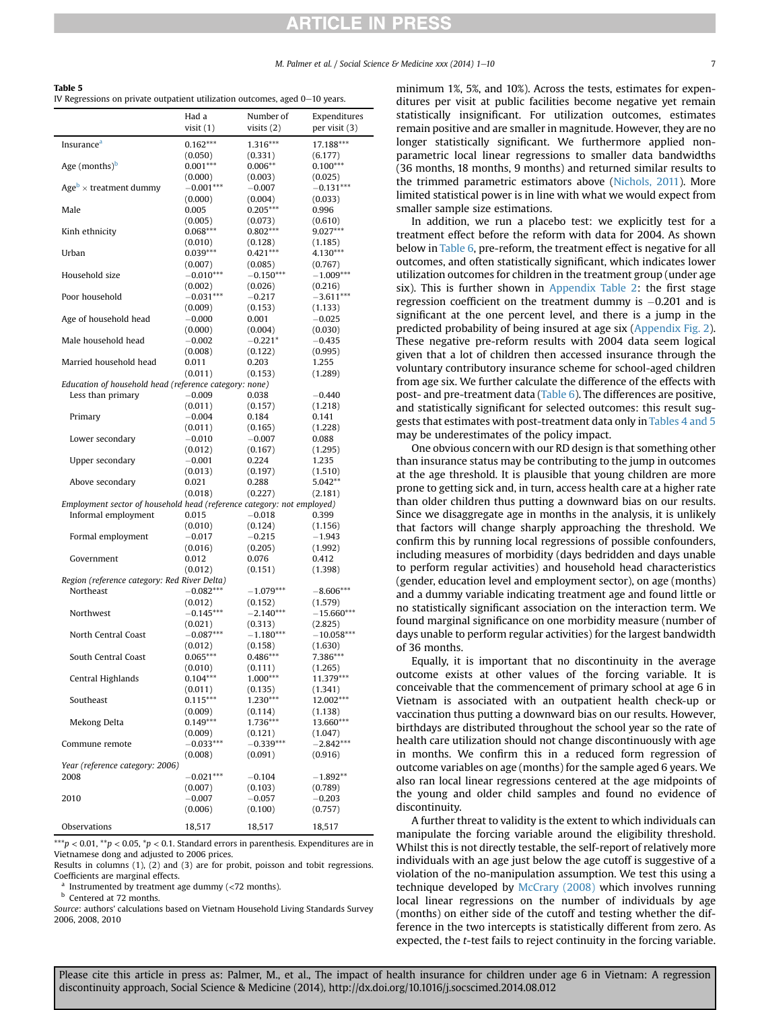<span id="page-6-0"></span>Table 5 IV Regressions on private outpatient utilization outcomes, aged  $0-10$  years.

|                                                                        | Had a<br>visit $(1)$ | Number of<br>visits $(2)$ | Expenditures<br>per visit (3) |
|------------------------------------------------------------------------|----------------------|---------------------------|-------------------------------|
| Insurance <sup>a</sup>                                                 | $0.162***$           | 1.316***                  | 17.188***                     |
|                                                                        | (0.050)              | (0.331)                   | (6.177)                       |
| Age (months) $b$                                                       | $0.001***$           | $0.006**$                 | $0.100***$                    |
|                                                                        | (0.000)              | (0.003)                   | (0.025)                       |
| Age <sup>b</sup> $\times$ treatment dummy                              | $-0.001***$          | $-0.007$                  | $-0.131***$                   |
|                                                                        | (0.000)              | (0.004)                   | (0.033)                       |
| Male                                                                   | 0.005                | $0.205***$                | 0.996                         |
|                                                                        | (0.005)              | (0.073)                   | (0.610)                       |
| Kinh ethnicity                                                         | $0.068***$           | $0.802***$                | $9.027***$                    |
|                                                                        | (0.010)              | (0.128)                   | (1.185)                       |
| Urban                                                                  | $0.039***$           | $0.421***$                | 4.130***                      |
|                                                                        | (0.007)              | (0.085)                   | (0.767)                       |
| Household size                                                         | $-0.010^{***}$       | $-0.150***$               | $-1.009***$                   |
|                                                                        | (0.002)              | (0.026)                   | (0.216)                       |
| Poor household                                                         | $-0.031***$          | $-0.217$                  | $-3.611***$                   |
|                                                                        | (0.009)              | (0.153)                   | (1.133)                       |
| Age of household head                                                  | $-0.000$             | 0.001                     | $-0.025$                      |
|                                                                        | (0.000)              | (0.004)                   | (0.030)                       |
| Male household head                                                    | $-0.002$             | $-0.221*$                 | $-0.435$                      |
|                                                                        | (0.008)              | (0.122)                   | (0.995)                       |
| Married household head                                                 | 0.011                | 0.203                     | 1.255                         |
|                                                                        | (0.011)              | (0.153)                   | (1.289)                       |
| Education of household head (reference category: none)                 |                      |                           |                               |
| Less than primary                                                      | $-0.009$             | 0.038                     | $-0.440$                      |
|                                                                        | (0.011)              | (0.157)                   | (1.218)                       |
| Primary                                                                | $-0.004$             | 0.184                     | 0.141                         |
|                                                                        | (0.011)              | (0.165)                   | (1.228)                       |
| Lower secondary                                                        | $-0.010$             | $-0.007$                  | 0.088                         |
|                                                                        | (0.012)              | (0.167)                   | (1.295)                       |
| Upper secondary                                                        | $-0.001$             | 0.224                     | 1.235                         |
|                                                                        | (0.013)              | (0.197)                   | (1.510)                       |
| Above secondary                                                        | 0.021                | 0.288                     | 5.042**                       |
|                                                                        | (0.018)              | (0.227)                   | (2.181)                       |
| Employment sector of household head (reference category: not employed) |                      |                           |                               |
| Informal employment                                                    | 0.015                | $-0.018$                  | 0.399                         |
|                                                                        | (0.010)              | (0.124)                   | (1.156)                       |
| Formal employment                                                      | $-0.017$             | $-0.215$                  | $-1.943$                      |
|                                                                        | (0.016)              | (0.205)                   | (1.992)                       |
| Government                                                             | 0.012                | 0.076                     | 0.412                         |
|                                                                        | (0.012)              | (0.151)                   | (1.398)                       |
| Region (reference category: Red River Delta)                           |                      |                           |                               |
| Northeast                                                              | $-0.082***$          | $-1.079***$               | $-8.606***$                   |
|                                                                        | (0.012)              | (0.152)                   | (1.579)                       |
| Northwest                                                              | $-0.145***$          | $-2.140***$               | $-15.660***$                  |
|                                                                        | (0.021)              | (0.313)                   | (2.825)                       |
| North Central Coast                                                    | $-0.087***$          | $-1.180***$               | $-10.058***$                  |
|                                                                        | (0.012)              | (0.158)                   | (1.630)                       |
| South Central Coast                                                    | $0.065***$           | $0.486***$                | 7.386***                      |
|                                                                        | (0.010)              | (0.111)                   | (1.265)                       |
| Central Highlands                                                      | $0.104***$           | $1.000***$                | 11.379***                     |
|                                                                        | (0.011)              | (0.135)                   | (1.341)                       |
| Southeast                                                              | $0.115***$           | $1.230***$                | 12.002***                     |
|                                                                        | (0.009)              | (0.114)                   | (1.138)                       |
| Mekong Delta                                                           | $0.149***$           | 1.736***                  | 13.660***                     |
|                                                                        | (0.009)              | (0.121)                   | (1.047)                       |
| Commune remote                                                         | $-0.033***$          | $-0.339***$               | $-2.842***$                   |
|                                                                        | (0.008)              | (0.091)                   | (0.916)                       |
| Year (reference category: 2006)                                        |                      |                           |                               |
| 2008                                                                   | $-0.021***$          | $-0.104$                  | $-1.892**$                    |
|                                                                        | (0.007)              | (0.103)                   | (0.789)                       |
| 2010                                                                   | $-0.007$             | $-0.057$                  | $-0.203$                      |
|                                                                        | (0.006)              | (0.100)                   | (0.757)                       |
|                                                                        |                      |                           |                               |
| Observations                                                           | 18,517               | 18,517                    | 18,517                        |

\*\*\*p < 0.01, \*\*p < 0.05, \*p < 0.1. Standard errors in parenthesis. Expenditures are in Vietnamese dong and adjusted to 2006 prices.

Results in columns (1), (2) and (3) are for probit, poisson and tobit regressions. Coefficients are marginal effects.

<sup>a</sup> Instrumented by treatment age dummy (<72 months).

Centered at 72 months.

Source: authors' calculations based on Vietnam Household Living Standards Survey 2006, 2008, 2010

minimum 1%, 5%, and 10%). Across the tests, estimates for expenditures per visit at public facilities become negative yet remain statistically insignificant. For utilization outcomes, estimates remain positive and are smaller in magnitude. However, they are no longer statistically significant. We furthermore applied nonparametric local linear regressions to smaller data bandwidths (36 months, 18 months, 9 months) and returned similar results to the trimmed parametric estimators above [\(Nichols, 2011\)](#page-9-0). More limited statistical power is in line with what we would expect from smaller sample size estimations.

In addition, we run a placebo test: we explicitly test for a treatment effect before the reform with data for 2004. As shown below in [Table 6](#page-7-0), pre-reform, the treatment effect is negative for all outcomes, and often statistically significant, which indicates lower utilization outcomes for children in the treatment group (under age six). This is further shown in Appendix Table 2: the first stage regression coefficient on the treatment dummy is -0.201 and is significant at the one percent level, and there is a jump in the predicted probability of being insured at age six (Appendix Fig. 2). These negative pre-reform results with 2004 data seem logical given that a lot of children then accessed insurance through the voluntary contributory insurance scheme for school-aged children from age six. We further calculate the difference of the effects with post- and pre-treatment data [\(Table 6\)](#page-7-0). The differences are positive, and statistically significant for selected outcomes: this result suggests that estimates with post-treatment data only in [Tables 4 and 5](#page-5-0) may be underestimates of the policy impact.

One obvious concern with our RD design is that something other than insurance status may be contributing to the jump in outcomes at the age threshold. It is plausible that young children are more prone to getting sick and, in turn, access health care at a higher rate than older children thus putting a downward bias on our results. Since we disaggregate age in months in the analysis, it is unlikely that factors will change sharply approaching the threshold. We confirm this by running local regressions of possible confounders, including measures of morbidity (days bedridden and days unable to perform regular activities) and household head characteristics (gender, education level and employment sector), on age (months) and a dummy variable indicating treatment age and found little or no statistically significant association on the interaction term. We found marginal significance on one morbidity measure (number of days unable to perform regular activities) for the largest bandwidth of 36 months.

Equally, it is important that no discontinuity in the average outcome exists at other values of the forcing variable. It is conceivable that the commencement of primary school at age 6 in Vietnam is associated with an outpatient health check-up or vaccination thus putting a downward bias on our results. However, birthdays are distributed throughout the school year so the rate of health care utilization should not change discontinuously with age in months. We confirm this in a reduced form regression of outcome variables on age (months) for the sample aged 6 years. We also ran local linear regressions centered at the age midpoints of the young and older child samples and found no evidence of discontinuity.

A further threat to validity is the extent to which individuals can manipulate the forcing variable around the eligibility threshold. Whilst this is not directly testable, the self-report of relatively more individuals with an age just below the age cutoff is suggestive of a violation of the no-manipulation assumption. We test this using a technique developed by [McCrary \(2008\)](#page-9-0) which involves running local linear regressions on the number of individuals by age (months) on either side of the cutoff and testing whether the difference in the two intercepts is statistically different from zero. As expected, the t-test fails to reject continuity in the forcing variable.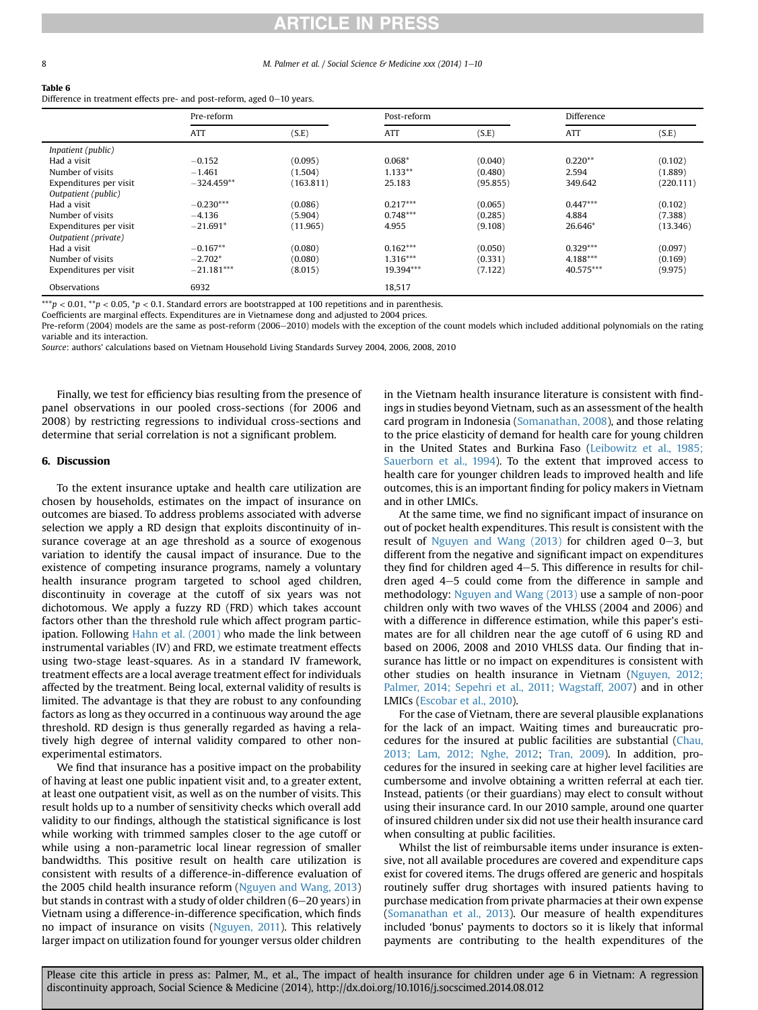# **RTICLE IN PRESS**

#### <span id="page-7-0"></span>8 M. Palmer et al. / Social Science & Medicine xxx (2014) 1-10

#### Table 6

Difference in treatment effects pre- and post-reform, aged  $0-10$  years.

|                        | Pre-reform   |           | Post-reform |          | Difference |           |
|------------------------|--------------|-----------|-------------|----------|------------|-----------|
|                        | <b>ATT</b>   | (S.E)     | ATT         | (S.E)    | <b>ATT</b> | (S.E)     |
| Inpatient (public)     |              |           |             |          |            |           |
| Had a visit            | $-0.152$     | (0.095)   | $0.068*$    | (0.040)  | $0.220**$  | (0.102)   |
| Number of visits       | $-1.461$     | (1.504)   | $1.133**$   | (0.480)  | 2.594      | (1.889)   |
| Expenditures per visit | $-324.459**$ | (163.811) | 25.183      | (95.855) | 349.642    | (220.111) |
| Outpatient (public)    |              |           |             |          |            |           |
| Had a visit            | $-0.230***$  | (0.086)   | $0.217***$  | (0.065)  | $0.447***$ | (0.102)   |
| Number of visits       | $-4.136$     | (5.904)   | $0.748***$  | (0.285)  | 4.884      | (7.388)   |
| Expenditures per visit | $-21.691*$   | (11.965)  | 4.955       | (9.108)  | 26.646*    | (13.346)  |
| Outpatient (private)   |              |           |             |          |            |           |
| Had a visit            | $-0.167**$   | (0.080)   | $0.162***$  | (0.050)  | $0.329***$ | (0.097)   |
| Number of visits       | $-2.702*$    | (0.080)   | $1.316***$  | (0.331)  | $4.188***$ | (0.169)   |
| Expenditures per visit | $-21.181***$ | (8.015)   | 19.394***   | (7.122)  | 40.575***  | (9.975)   |
| Observations           | 6932         |           | 18.517      |          |            |           |

\*\*\*p < 0.01, \*\*p < 0.05, \*p < 0.1. Standard errors are bootstrapped at 100 repetitions and in parenthesis.

Coefficients are marginal effects. Expenditures are in Vietnamese dong and adjusted to 2004 prices.

Pre-reform (2004) models are the same as post-reform (2006-2010) models with the exception of the count models which included additional polynomials on the rating variable and its interaction.

Source: authors' calculations based on Vietnam Household Living Standards Survey 2004, 2006, 2008, 2010

Finally, we test for efficiency bias resulting from the presence of panel observations in our pooled cross-sections (for 2006 and 2008) by restricting regressions to individual cross-sections and determine that serial correlation is not a significant problem.

## 6. Discussion

To the extent insurance uptake and health care utilization are chosen by households, estimates on the impact of insurance on outcomes are biased. To address problems associated with adverse selection we apply a RD design that exploits discontinuity of insurance coverage at an age threshold as a source of exogenous variation to identify the causal impact of insurance. Due to the existence of competing insurance programs, namely a voluntary health insurance program targeted to school aged children, discontinuity in coverage at the cutoff of six years was not dichotomous. We apply a fuzzy RD (FRD) which takes account factors other than the threshold rule which affect program partic-ipation. Following [Hahn et al. \(2001\)](#page-8-0) who made the link between instrumental variables (IV) and FRD, we estimate treatment effects using two-stage least-squares. As in a standard IV framework, treatment effects are a local average treatment effect for individuals affected by the treatment. Being local, external validity of results is limited. The advantage is that they are robust to any confounding factors as long as they occurred in a continuous way around the age threshold. RD design is thus generally regarded as having a relatively high degree of internal validity compared to other nonexperimental estimators.

We find that insurance has a positive impact on the probability of having at least one public inpatient visit and, to a greater extent, at least one outpatient visit, as well as on the number of visits. This result holds up to a number of sensitivity checks which overall add validity to our findings, although the statistical significance is lost while working with trimmed samples closer to the age cutoff or while using a non-parametric local linear regression of smaller bandwidths. This positive result on health care utilization is consistent with results of a difference-in-difference evaluation of the 2005 child health insurance reform ([Nguyen and Wang, 2013\)](#page-9-0) but stands in contrast with a study of older children  $(6-20$  years) in Vietnam using a difference-in-difference specification, which finds no impact of insurance on visits ([Nguyen, 2011](#page-9-0)). This relatively larger impact on utilization found for younger versus older children in the Vietnam health insurance literature is consistent with findings in studies beyond Vietnam, such as an assessment of the health card program in Indonesia ([Somanathan, 2008](#page-9-0)), and those relating to the price elasticity of demand for health care for young children in the United States and Burkina Faso ([Leibowitz et al., 1985;](#page-9-0) [Sauerborn et al., 1994](#page-9-0)). To the extent that improved access to health care for younger children leads to improved health and life outcomes, this is an important finding for policy makers in Vietnam and in other LMICs.

At the same time, we find no significant impact of insurance on out of pocket health expenditures. This result is consistent with the result of Nguyen and Wang  $(2013)$  for children aged 0-3, but different from the negative and significant impact on expenditures they find for children aged  $4-5$ . This difference in results for children aged  $4-5$  could come from the difference in sample and methodology: [Nguyen and Wang \(2013\)](#page-9-0) use a sample of non-poor children only with two waves of the VHLSS (2004 and 2006) and with a difference in difference estimation, while this paper's estimates are for all children near the age cutoff of 6 using RD and based on 2006, 2008 and 2010 VHLSS data. Our finding that insurance has little or no impact on expenditures is consistent with other studies on health insurance in Vietnam ([Nguyen, 2012;](#page-9-0) [Palmer, 2014; Sepehri et al., 2011; Wagstaff, 2007](#page-9-0)) and in other LMICs [\(Escobar et al., 2010\)](#page-8-0).

For the case of Vietnam, there are several plausible explanations for the lack of an impact. Waiting times and bureaucratic procedures for the insured at public facilities are substantial ([Chau,](#page-8-0) [2013; Lam, 2012; Nghe, 2012](#page-8-0); [Tran, 2009\)](#page-9-0). In addition, procedures for the insured in seeking care at higher level facilities are cumbersome and involve obtaining a written referral at each tier. Instead, patients (or their guardians) may elect to consult without using their insurance card. In our 2010 sample, around one quarter of insured children under six did not use their health insurance card when consulting at public facilities.

Whilst the list of reimbursable items under insurance is extensive, not all available procedures are covered and expenditure caps exist for covered items. The drugs offered are generic and hospitals routinely suffer drug shortages with insured patients having to purchase medication from private pharmacies at their own expense ([Somanathan et al., 2013](#page-9-0)). Our measure of health expenditures included 'bonus' payments to doctors so it is likely that informal payments are contributing to the health expenditures of the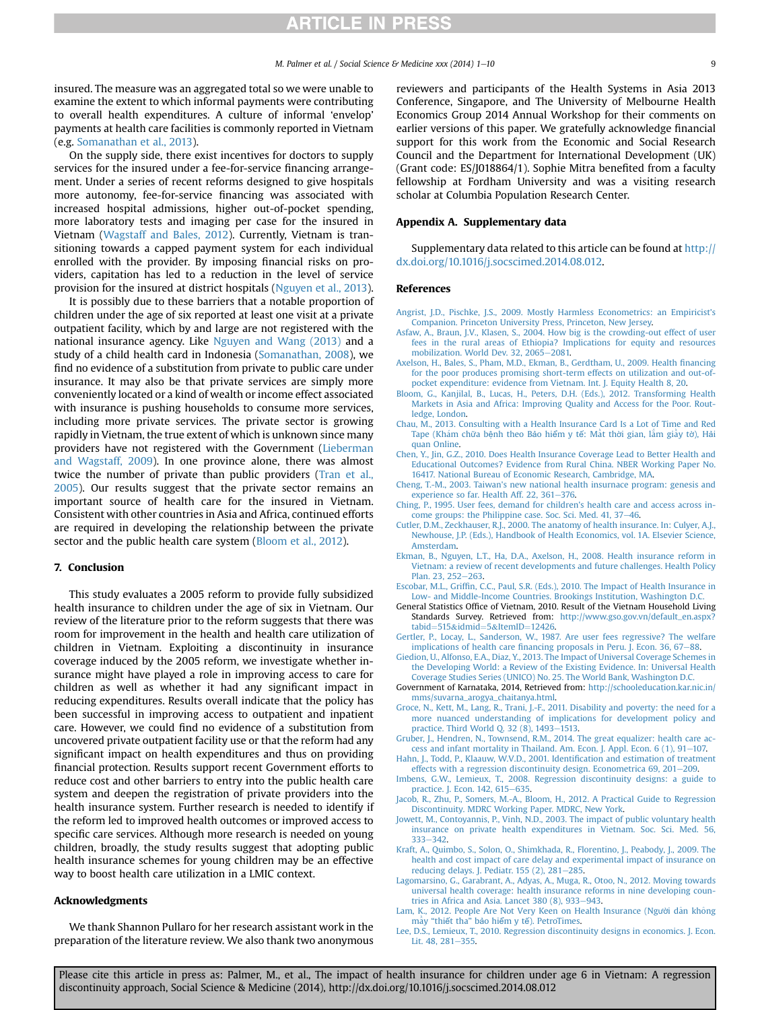<span id="page-8-0"></span>insured. The measure was an aggregated total so we were unable to examine the extent to which informal payments were contributing to overall health expenditures. A culture of informal 'envelop' payments at health care facilities is commonly reported in Vietnam (e.g. [Somanathan et al., 2013](#page-9-0)).

On the supply side, there exist incentives for doctors to supply services for the insured under a fee-for-service financing arrangement. Under a series of recent reforms designed to give hospitals more autonomy, fee-for-service financing was associated with increased hospital admissions, higher out-of-pocket spending, more laboratory tests and imaging per case for the insured in Vietnam [\(Wagstaff and Bales, 2012\)](#page-9-0). Currently, Vietnam is transitioning towards a capped payment system for each individual enrolled with the provider. By imposing financial risks on providers, capitation has led to a reduction in the level of service provision for the insured at district hospitals ([Nguyen et al., 2013\)](#page-9-0).

It is possibly due to these barriers that a notable proportion of children under the age of six reported at least one visit at a private outpatient facility, which by and large are not registered with the national insurance agency. Like [Nguyen and Wang \(2013\)](#page-9-0) and a study of a child health card in Indonesia [\(Somanathan, 2008\)](#page-9-0), we find no evidence of a substitution from private to public care under insurance. It may also be that private services are simply more conveniently located or a kind of wealth or income effect associated with insurance is pushing households to consume more services, including more private services. The private sector is growing rapidly in Vietnam, the true extent of which is unknown since many providers have not registered with the Government ([Lieberman](#page-9-0) [and Wagstaff, 2009](#page-9-0)). In one province alone, there was almost twice the number of private than public providers ([Tran et al.,](#page-9-0) [2005\)](#page-9-0). Our results suggest that the private sector remains an important source of health care for the insured in Vietnam. Consistent with other countries in Asia and Africa, continued efforts are required in developing the relationship between the private sector and the public health care system (Bloom et al., 2012).

# 7. Conclusion

This study evaluates a 2005 reform to provide fully subsidized health insurance to children under the age of six in Vietnam. Our review of the literature prior to the reform suggests that there was room for improvement in the health and health care utilization of children in Vietnam. Exploiting a discontinuity in insurance coverage induced by the 2005 reform, we investigate whether insurance might have played a role in improving access to care for children as well as whether it had any significant impact in reducing expenditures. Results overall indicate that the policy has been successful in improving access to outpatient and inpatient care. However, we could find no evidence of a substitution from uncovered private outpatient facility use or that the reform had any significant impact on health expenditures and thus on providing financial protection. Results support recent Government efforts to reduce cost and other barriers to entry into the public health care system and deepen the registration of private providers into the health insurance system. Further research is needed to identify if the reform led to improved health outcomes or improved access to specific care services. Although more research is needed on young children, broadly, the study results suggest that adopting public health insurance schemes for young children may be an effective way to boost health care utilization in a LMIC context.

# Acknowledgments

We thank Shannon Pullaro for her research assistant work in the preparation of the literature review. We also thank two anonymous reviewers and participants of the Health Systems in Asia 2013 Conference, Singapore, and The University of Melbourne Health Economics Group 2014 Annual Workshop for their comments on earlier versions of this paper. We gratefully acknowledge financial support for this work from the Economic and Social Research Council and the Department for International Development (UK) (Grant code: ES/J018864/1). Sophie Mitra benefited from a faculty fellowship at Fordham University and was a visiting research scholar at Columbia Population Research Center.

### Appendix A. Supplementary data

Supplementary data related to this article can be found at [http://](http://dx.doi.org/10.1016/j.socscimed.2014.08.012) [dx.doi.org/10.1016/j.socscimed.2014.08.012](http://dx.doi.org/10.1016/j.socscimed.2014.08.012).

#### References

- [Angrist, J.D., Pischke, J.S., 2009. Mostly Harmless Econometrics: an Empiricist's](http://refhub.elsevier.com/S0277-9536(14)00529-2/sref1) [Companion. Princeton University Press, Princeton, New Jersey](http://refhub.elsevier.com/S0277-9536(14)00529-2/sref1).
- [Asfaw, A., Braun, J.V., Klasen, S., 2004. How big is the crowding-out effect of user](http://refhub.elsevier.com/S0277-9536(14)00529-2/sref2) [fees in the rural areas of Ethiopia? Implications for equity and resources](http://refhub.elsevier.com/S0277-9536(14)00529-2/sref2) [mobilization. World Dev. 32, 2065](http://refhub.elsevier.com/S0277-9536(14)00529-2/sref2)-[2081.](http://refhub.elsevier.com/S0277-9536(14)00529-2/sref2)
- [Axelson, H., Bales, S., Pham, M.D., Ekman, B., Gerdtham, U., 2009. Health](http://refhub.elsevier.com/S0277-9536(14)00529-2/sref3) financing [for the poor produces promising short-term effects on utilization and out-of](http://refhub.elsevier.com/S0277-9536(14)00529-2/sref3)[pocket expenditure: evidence from Vietnam. Int. J. Equity Health 8, 20](http://refhub.elsevier.com/S0277-9536(14)00529-2/sref3).
- [Bloom, G., Kanjilal, B., Lucas, H., Peters, D.H. \(Eds.\), 2012. Transforming Health](http://refhub.elsevier.com/S0277-9536(14)00529-2/sref4) [Markets in Asia and Africa: Improving Quality and Access for the Poor. Rout](http://refhub.elsevier.com/S0277-9536(14)00529-2/sref4)[ledge, London](http://refhub.elsevier.com/S0277-9536(14)00529-2/sref4).
- [Chau, M., 2013. Consulting with a Health Insurance Card Is a Lot of Time and Red](http://refhub.elsevier.com/S0277-9536(14)00529-2/sref5) Tape (Khám chữa bệ[nh theo B](http://refhub.elsevier.com/S0277-9536(14)00529-2/sref5)ảo hiểm y tế: Mầt thờ[i gian, l](http://refhub.elsevier.com/S0277-9536(14)00529-2/sref5)ắ[m gi](http://refhub.elsevier.com/S0277-9536(14)00529-2/sref5)ầy tờ[\), H](http://refhub.elsevier.com/S0277-9536(14)00529-2/sref5)ải [quan Online.](http://refhub.elsevier.com/S0277-9536(14)00529-2/sref5)
- [Chen, Y., Jin, G.Z., 2010. Does Health Insurance Coverage Lead to Better Health and](http://refhub.elsevier.com/S0277-9536(14)00529-2/sref6) [Educational Outcomes? Evidence from Rural China. NBER Working Paper No.](http://refhub.elsevier.com/S0277-9536(14)00529-2/sref6) [16417. National Bureau of Economic Research, Cambridge, MA.](http://refhub.elsevier.com/S0277-9536(14)00529-2/sref6)
- [Cheng, T.-M., 2003. Taiwan's new national health insurnace program: genesis and](http://refhub.elsevier.com/S0277-9536(14)00529-2/sref7) experience so far. Health Aff. 22,  $361-376$ .
- [Ching, P., 1995. User fees, demand for children's health care and access across in](http://refhub.elsevier.com/S0277-9536(14)00529-2/sref8)[come groups: the Philippine case. Soc. Sci. Med. 41, 37](http://refhub.elsevier.com/S0277-9536(14)00529-2/sref8)-[46](http://refhub.elsevier.com/S0277-9536(14)00529-2/sref8).
- [Cutler, D.M., Zeckhauser, R.J., 2000. The anatomy of health insurance. In: Culyer, A.J.,](http://refhub.elsevier.com/S0277-9536(14)00529-2/sref10) [Newhouse, J.P. \(Eds.\), Handbook of Health Economics, vol. 1A. Elsevier Science,](http://refhub.elsevier.com/S0277-9536(14)00529-2/sref10) [Amsterdam.](http://refhub.elsevier.com/S0277-9536(14)00529-2/sref10)
- [Ekman, B., Nguyen, L.T., Ha, D.A., Axelson, H., 2008. Health insurance reform in](http://refhub.elsevier.com/S0277-9536(14)00529-2/sref11) [Vietnam: a review of recent developments and future challenges. Health Policy](http://refhub.elsevier.com/S0277-9536(14)00529-2/sref11) [Plan. 23, 252](http://refhub.elsevier.com/S0277-9536(14)00529-2/sref11)-[263](http://refhub.elsevier.com/S0277-9536(14)00529-2/sref11).
- Escobar, M.L., Griffi[n, C.C., Paul, S.R. \(Eds.\), 2010. The Impact of Health Insurance in](http://refhub.elsevier.com/S0277-9536(14)00529-2/sref12) [Low- and Middle-Income Countries. Brookings Institution, Washington D.C.](http://refhub.elsevier.com/S0277-9536(14)00529-2/sref12)
- General Statistics Office of Vietnam, 2010. Result of the Vietnam Household Living Standards Survey. Retrieved from: [http://www.gso.gov.vn/default\\_en.aspx?](http://www.gso.gov.vn/default_en.aspx?tabid=515%26idmid=5%26ItemID=12426) [tabid](http://www.gso.gov.vn/default_en.aspx?tabid=515%26idmid=5%26ItemID=12426)=[515](http://www.gso.gov.vn/default_en.aspx?tabid=515%26idmid=5%26ItemID=12426)&[idmid](http://www.gso.gov.vn/default_en.aspx?tabid=515%26idmid=5%26ItemID=12426)=[5](http://www.gso.gov.vn/default_en.aspx?tabid=515%26idmid=5%26ItemID=12426)&[ItemID](http://www.gso.gov.vn/default_en.aspx?tabid=515%26idmid=5%26ItemID=12426)=[12426.](http://www.gso.gov.vn/default_en.aspx?tabid=515%26idmid=5%26ItemID=12426)
- [Gertler, P., Locay, L., Sanderson, W., 1987. Are user fees regressive? The welfare](http://refhub.elsevier.com/S0277-9536(14)00529-2/sref14) implications of health care fi[nancing proposals in Peru. J. Econ. 36, 67](http://refhub.elsevier.com/S0277-9536(14)00529-2/sref14)-[88.](http://refhub.elsevier.com/S0277-9536(14)00529-2/sref14)
- [Giedion, U., Alfonso, E.A., Diaz, Y., 2013. The Impact of Universal Coverage Schemes in](http://refhub.elsevier.com/S0277-9536(14)00529-2/sref15) [the Developing World: a Review of the Existing Evidence. In: Universal Health](http://refhub.elsevier.com/S0277-9536(14)00529-2/sref15) [Coverage Studies Series \(UNICO\) No. 25. The World Bank, Washington D.C.](http://refhub.elsevier.com/S0277-9536(14)00529-2/sref15)
- Government of Karnataka, 2014, Retrieved from: [http://schooleducation.kar.nic.in/](http://schooleducation.kar.nic.in/mms/suvarna_arogya_chaitanya.html) [mms/suvarna\\_arogya\\_chaitanya.html](http://schooleducation.kar.nic.in/mms/suvarna_arogya_chaitanya.html).
- [Groce, N., Kett, M., Lang, R., Trani, J.-F., 2011. Disability and poverty: the need for a](http://refhub.elsevier.com/S0277-9536(14)00529-2/sref16) [more nuanced understanding of implications for development policy and](http://refhub.elsevier.com/S0277-9536(14)00529-2/sref16) [practice. Third World Q. 32 \(8\), 1493](http://refhub.elsevier.com/S0277-9536(14)00529-2/sref16)-[1513](http://refhub.elsevier.com/S0277-9536(14)00529-2/sref16).
- [Gruber, J., Hendren, N., Townsend, R.M., 2014. The great equalizer: health care ac](http://refhub.elsevier.com/S0277-9536(14)00529-2/sref17)cess and infant mortality in Thailand. Am. Econ. J. Appl. Econ. 6  $(1)$ , 91-[107.](http://refhub.elsevier.com/S0277-9536(14)00529-2/sref17)
- [Hahn, J., Todd, P., Klaauw, W.V.D., 2001. Identi](http://refhub.elsevier.com/S0277-9536(14)00529-2/sref18)fication and estimation of treatment [effects with a regression discontinuity design. Econometrica 69, 201](http://refhub.elsevier.com/S0277-9536(14)00529-2/sref18)-[209](http://refhub.elsevier.com/S0277-9536(14)00529-2/sref18).
- [Imbens, G.W., Lemieux, T., 2008. Regression discontinuity designs: a guide to](http://refhub.elsevier.com/S0277-9536(14)00529-2/sref19) [practice. J. Econ. 142, 615](http://refhub.elsevier.com/S0277-9536(14)00529-2/sref19)-[635](http://refhub.elsevier.com/S0277-9536(14)00529-2/sref19).
- [Jacob, R., Zhu, P., Somers, M.-A., Bloom, H., 2012. A Practical Guide to Regression](http://refhub.elsevier.com/S0277-9536(14)00529-2/sref20) [Discontinuity. MDRC Working Paper. MDRC, New York](http://refhub.elsevier.com/S0277-9536(14)00529-2/sref20).
- [Jowett, M., Contoyannis, P., Vinh, N.D., 2003. The impact of public voluntary health](http://refhub.elsevier.com/S0277-9536(14)00529-2/sref21) [insurance on private health expenditures in Vietnam. Soc. Sci. Med. 56,](http://refhub.elsevier.com/S0277-9536(14)00529-2/sref21) [333](http://refhub.elsevier.com/S0277-9536(14)00529-2/sref21)e[342.](http://refhub.elsevier.com/S0277-9536(14)00529-2/sref21)
- [Kraft, A., Quimbo, S., Solon, O., Shimkhada, R., Florentino, J., Peabody, J., 2009. The](http://refhub.elsevier.com/S0277-9536(14)00529-2/sref22) [health and cost impact of care delay and experimental impact of insurance on](http://refhub.elsevier.com/S0277-9536(14)00529-2/sref22) [reducing delays. J. Pediatr. 155 \(2\), 281](http://refhub.elsevier.com/S0277-9536(14)00529-2/sref22)-[285](http://refhub.elsevier.com/S0277-9536(14)00529-2/sref22).
- [Lagomarsino, G., Garabrant, A., Adyas, A., Muga, R., Otoo, N., 2012. Moving towards](http://refhub.elsevier.com/S0277-9536(14)00529-2/sref23) [universal health coverage: health insurance reforms in nine developing coun](http://refhub.elsevier.com/S0277-9536(14)00529-2/sref23)[tries in Africa and Asia. Lancet 380 \(8\), 933](http://refhub.elsevier.com/S0277-9536(14)00529-2/sref23)-[943](http://refhub.elsevier.com/S0277-9536(14)00529-2/sref23).
- [Lam, K., 2012. People Are Not Very Keen on Health Insurance \(Ng](http://refhub.elsevier.com/S0277-9536(14)00529-2/sref24)ười dâ[n kh](http://refhub.elsevier.com/S0277-9536(14)00529-2/sref24)ô[ng](http://refhub.elsevier.com/S0277-9536(14)00529-2/sref24) [m](http://refhub.elsevier.com/S0277-9536(14)00529-2/sref24)ầy "thiết tha" bảo hiểm y tế[\). PetroTimes.](http://refhub.elsevier.com/S0277-9536(14)00529-2/sref24)
- [Lee, D.S., Lemieux, T., 2010. Regression discontinuity designs in economics. J. Econ.](http://refhub.elsevier.com/S0277-9536(14)00529-2/sref26) [Lit. 48, 281](http://refhub.elsevier.com/S0277-9536(14)00529-2/sref26)-[355](http://refhub.elsevier.com/S0277-9536(14)00529-2/sref26).